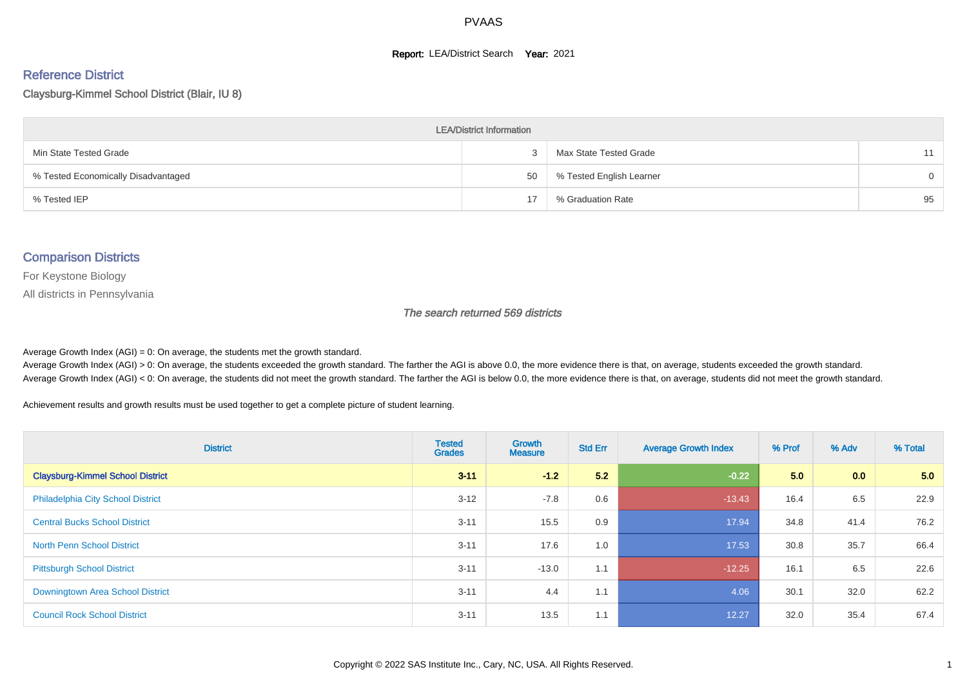#### **Report: LEA/District Search Year: 2021**

#### Reference District

#### Claysburg-Kimmel School District (Blair, IU 8)

| <b>LEA/District Information</b>     |    |                          |          |  |  |  |  |  |  |
|-------------------------------------|----|--------------------------|----------|--|--|--|--|--|--|
| Min State Tested Grade              |    | Max State Tested Grade   | 11       |  |  |  |  |  |  |
| % Tested Economically Disadvantaged | 50 | % Tested English Learner | $\Omega$ |  |  |  |  |  |  |
| % Tested IEP                        | 17 | % Graduation Rate        | 95       |  |  |  |  |  |  |

#### Comparison Districts

For Keystone Biology

All districts in Pennsylvania

The search returned 569 districts

Average Growth Index  $(AGI) = 0$ : On average, the students met the growth standard.

Average Growth Index (AGI) > 0: On average, the students exceeded the growth standard. The farther the AGI is above 0.0, the more evidence there is that, on average, students exceeded the growth standard. Average Growth Index (AGI) < 0: On average, the students did not meet the growth standard. The farther the AGI is below 0.0, the more evidence there is that, on average, students did not meet the growth standard.

Achievement results and growth results must be used together to get a complete picture of student learning.

| <b>District</b>                          | <b>Tested</b><br><b>Grades</b> | <b>Growth</b><br><b>Measure</b> | <b>Std Err</b> | <b>Average Growth Index</b> | % Prof | % Adv | % Total |
|------------------------------------------|--------------------------------|---------------------------------|----------------|-----------------------------|--------|-------|---------|
| <b>Claysburg-Kimmel School District</b>  | $3 - 11$                       | $-1.2$                          | 5.2            | $-0.22$                     | 5.0    | 0.0   | 5.0     |
| <b>Philadelphia City School District</b> | $3 - 12$                       | $-7.8$                          | 0.6            | $-13.43$                    | 16.4   | 6.5   | 22.9    |
| <b>Central Bucks School District</b>     | $3 - 11$                       | 15.5                            | 0.9            | 17.94                       | 34.8   | 41.4  | 76.2    |
| <b>North Penn School District</b>        | $3 - 11$                       | 17.6                            | 1.0            | 17.53                       | 30.8   | 35.7  | 66.4    |
| <b>Pittsburgh School District</b>        | $3 - 11$                       | $-13.0$                         | 1.1            | $-12.25$                    | 16.1   | 6.5   | 22.6    |
| Downingtown Area School District         | $3 - 11$                       | 4.4                             | 1.1            | 4.06                        | 30.1   | 32.0  | 62.2    |
| <b>Council Rock School District</b>      | $3 - 11$                       | 13.5                            | 1.1            | 12.27                       | 32.0   | 35.4  | 67.4    |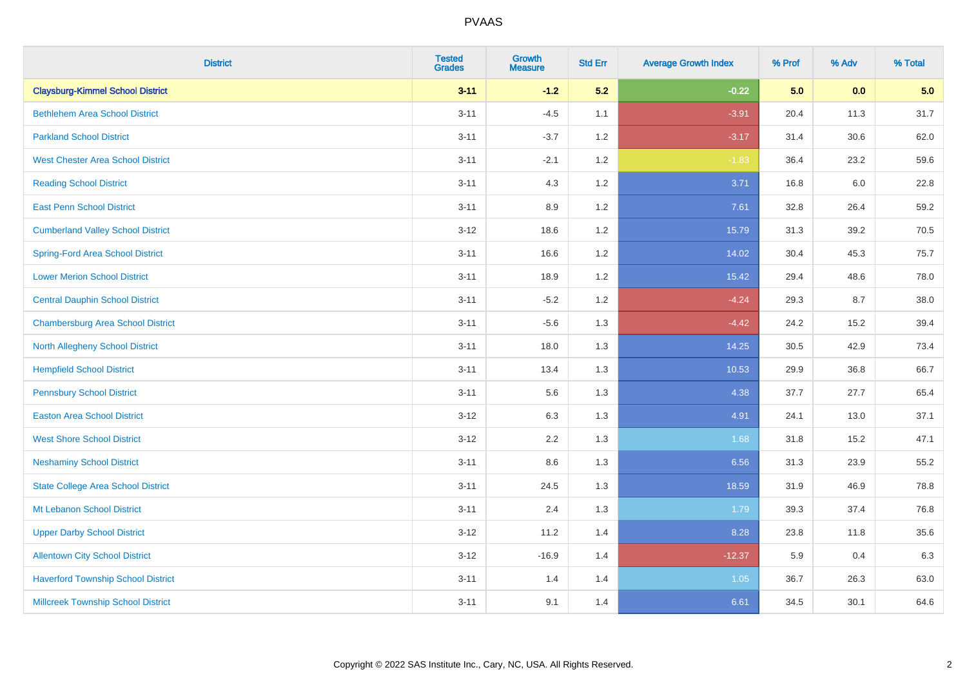| <b>District</b>                           | <b>Tested</b><br><b>Grades</b> | <b>Growth</b><br><b>Measure</b> | <b>Std Err</b> | <b>Average Growth Index</b> | % Prof | % Adv | % Total |
|-------------------------------------------|--------------------------------|---------------------------------|----------------|-----------------------------|--------|-------|---------|
| <b>Claysburg-Kimmel School District</b>   | $3 - 11$                       | $-1.2$                          | 5.2            | $-0.22$                     | 5.0    | 0.0   | 5.0     |
| <b>Bethlehem Area School District</b>     | $3 - 11$                       | $-4.5$                          | 1.1            | $-3.91$                     | 20.4   | 11.3  | 31.7    |
| <b>Parkland School District</b>           | $3 - 11$                       | $-3.7$                          | 1.2            | $-3.17$                     | 31.4   | 30.6  | 62.0    |
| <b>West Chester Area School District</b>  | $3 - 11$                       | $-2.1$                          | 1.2            | $-1.83$                     | 36.4   | 23.2  | 59.6    |
| <b>Reading School District</b>            | $3 - 11$                       | 4.3                             | 1.2            | 3.71                        | 16.8   | 6.0   | 22.8    |
| <b>East Penn School District</b>          | $3 - 11$                       | 8.9                             | 1.2            | 7.61                        | 32.8   | 26.4  | 59.2    |
| <b>Cumberland Valley School District</b>  | $3 - 12$                       | 18.6                            | 1.2            | 15.79                       | 31.3   | 39.2  | 70.5    |
| <b>Spring-Ford Area School District</b>   | $3 - 11$                       | 16.6                            | 1.2            | 14.02                       | 30.4   | 45.3  | 75.7    |
| <b>Lower Merion School District</b>       | $3 - 11$                       | 18.9                            | 1.2            | 15.42                       | 29.4   | 48.6  | 78.0    |
| <b>Central Dauphin School District</b>    | $3 - 11$                       | $-5.2$                          | 1.2            | $-4.24$                     | 29.3   | 8.7   | 38.0    |
| <b>Chambersburg Area School District</b>  | $3 - 11$                       | $-5.6$                          | 1.3            | $-4.42$                     | 24.2   | 15.2  | 39.4    |
| <b>North Allegheny School District</b>    | $3 - 11$                       | 18.0                            | 1.3            | 14.25                       | 30.5   | 42.9  | 73.4    |
| <b>Hempfield School District</b>          | $3 - 11$                       | 13.4                            | 1.3            | 10.53                       | 29.9   | 36.8  | 66.7    |
| <b>Pennsbury School District</b>          | $3 - 11$                       | 5.6                             | 1.3            | 4.38                        | 37.7   | 27.7  | 65.4    |
| <b>Easton Area School District</b>        | $3 - 12$                       | 6.3                             | 1.3            | 4.91                        | 24.1   | 13.0  | 37.1    |
| <b>West Shore School District</b>         | $3 - 12$                       | 2.2                             | 1.3            | 1.68                        | 31.8   | 15.2  | 47.1    |
| <b>Neshaminy School District</b>          | $3 - 11$                       | 8.6                             | 1.3            | 6.56                        | 31.3   | 23.9  | 55.2    |
| <b>State College Area School District</b> | $3 - 11$                       | 24.5                            | 1.3            | 18.59                       | 31.9   | 46.9  | 78.8    |
| Mt Lebanon School District                | $3 - 11$                       | 2.4                             | 1.3            | 1.79                        | 39.3   | 37.4  | 76.8    |
| <b>Upper Darby School District</b>        | $3 - 12$                       | 11.2                            | 1.4            | 8.28                        | 23.8   | 11.8  | 35.6    |
| <b>Allentown City School District</b>     | $3 - 12$                       | $-16.9$                         | 1.4            | $-12.37$                    | 5.9    | 0.4   | 6.3     |
| <b>Haverford Township School District</b> | $3 - 11$                       | 1.4                             | 1.4            | 1.05                        | 36.7   | 26.3  | 63.0    |
| <b>Millcreek Township School District</b> | $3 - 11$                       | 9.1                             | 1.4            | 6.61                        | 34.5   | 30.1  | 64.6    |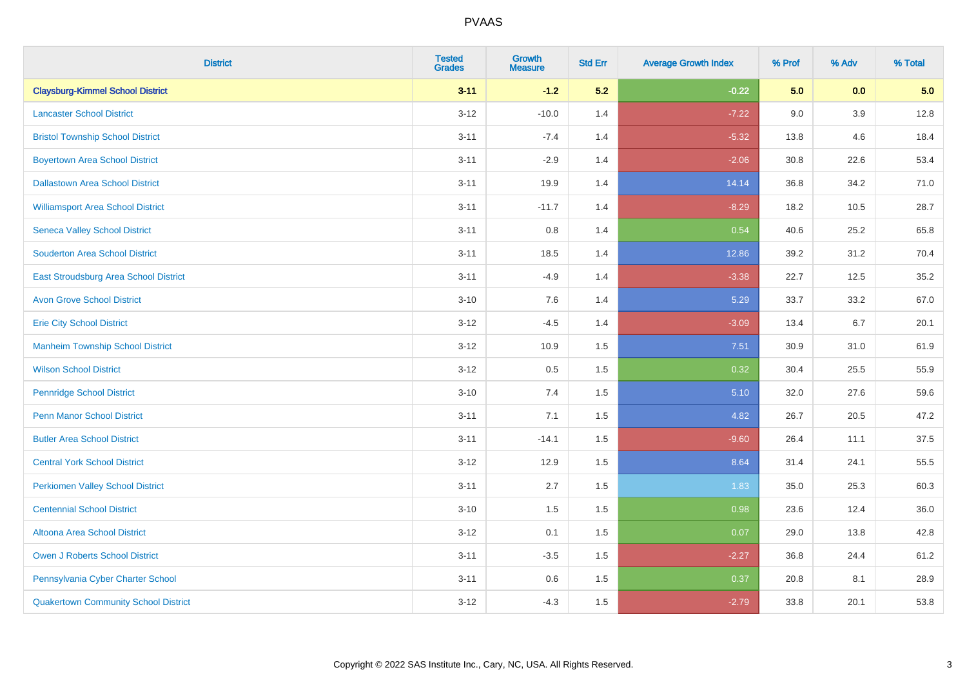| <b>District</b>                             | <b>Tested</b><br><b>Grades</b> | <b>Growth</b><br><b>Measure</b> | <b>Std Err</b> | <b>Average Growth Index</b> | % Prof | % Adv   | % Total |
|---------------------------------------------|--------------------------------|---------------------------------|----------------|-----------------------------|--------|---------|---------|
| <b>Claysburg-Kimmel School District</b>     | $3 - 11$                       | $-1.2$                          | 5.2            | $-0.22$                     | 5.0    | 0.0     | 5.0     |
| <b>Lancaster School District</b>            | $3 - 12$                       | $-10.0$                         | 1.4            | $-7.22$                     | 9.0    | $3.9\,$ | 12.8    |
| <b>Bristol Township School District</b>     | $3 - 11$                       | $-7.4$                          | 1.4            | $-5.32$                     | 13.8   | 4.6     | 18.4    |
| <b>Boyertown Area School District</b>       | $3 - 11$                       | $-2.9$                          | 1.4            | $-2.06$                     | 30.8   | 22.6    | 53.4    |
| <b>Dallastown Area School District</b>      | $3 - 11$                       | 19.9                            | 1.4            | 14.14                       | 36.8   | 34.2    | 71.0    |
| <b>Williamsport Area School District</b>    | $3 - 11$                       | $-11.7$                         | 1.4            | $-8.29$                     | 18.2   | 10.5    | 28.7    |
| <b>Seneca Valley School District</b>        | $3 - 11$                       | 0.8                             | 1.4            | 0.54                        | 40.6   | 25.2    | 65.8    |
| <b>Souderton Area School District</b>       | $3 - 11$                       | 18.5                            | 1.4            | 12.86                       | 39.2   | 31.2    | 70.4    |
| East Stroudsburg Area School District       | $3 - 11$                       | $-4.9$                          | 1.4            | $-3.38$                     | 22.7   | 12.5    | 35.2    |
| <b>Avon Grove School District</b>           | $3 - 10$                       | 7.6                             | 1.4            | 5.29                        | 33.7   | 33.2    | 67.0    |
| <b>Erie City School District</b>            | $3 - 12$                       | $-4.5$                          | 1.4            | $-3.09$                     | 13.4   | 6.7     | 20.1    |
| <b>Manheim Township School District</b>     | $3 - 12$                       | 10.9                            | 1.5            | 7.51                        | 30.9   | 31.0    | 61.9    |
| <b>Wilson School District</b>               | $3 - 12$                       | 0.5                             | 1.5            | 0.32                        | 30.4   | 25.5    | 55.9    |
| <b>Pennridge School District</b>            | $3 - 10$                       | 7.4                             | 1.5            | 5.10                        | 32.0   | 27.6    | 59.6    |
| <b>Penn Manor School District</b>           | $3 - 11$                       | 7.1                             | 1.5            | 4.82                        | 26.7   | 20.5    | 47.2    |
| <b>Butler Area School District</b>          | $3 - 11$                       | $-14.1$                         | 1.5            | $-9.60$                     | 26.4   | 11.1    | 37.5    |
| <b>Central York School District</b>         | $3 - 12$                       | 12.9                            | 1.5            | 8.64                        | 31.4   | 24.1    | 55.5    |
| <b>Perkiomen Valley School District</b>     | $3 - 11$                       | 2.7                             | 1.5            | 1.83                        | 35.0   | 25.3    | 60.3    |
| <b>Centennial School District</b>           | $3 - 10$                       | 1.5                             | 1.5            | 0.98                        | 23.6   | 12.4    | 36.0    |
| Altoona Area School District                | $3 - 12$                       | 0.1                             | 1.5            | 0.07                        | 29.0   | 13.8    | 42.8    |
| Owen J Roberts School District              | $3 - 11$                       | $-3.5$                          | 1.5            | $-2.27$                     | 36.8   | 24.4    | 61.2    |
| Pennsylvania Cyber Charter School           | $3 - 11$                       | 0.6                             | 1.5            | 0.37                        | 20.8   | 8.1     | 28.9    |
| <b>Quakertown Community School District</b> | $3 - 12$                       | $-4.3$                          | 1.5            | $-2.79$                     | 33.8   | 20.1    | 53.8    |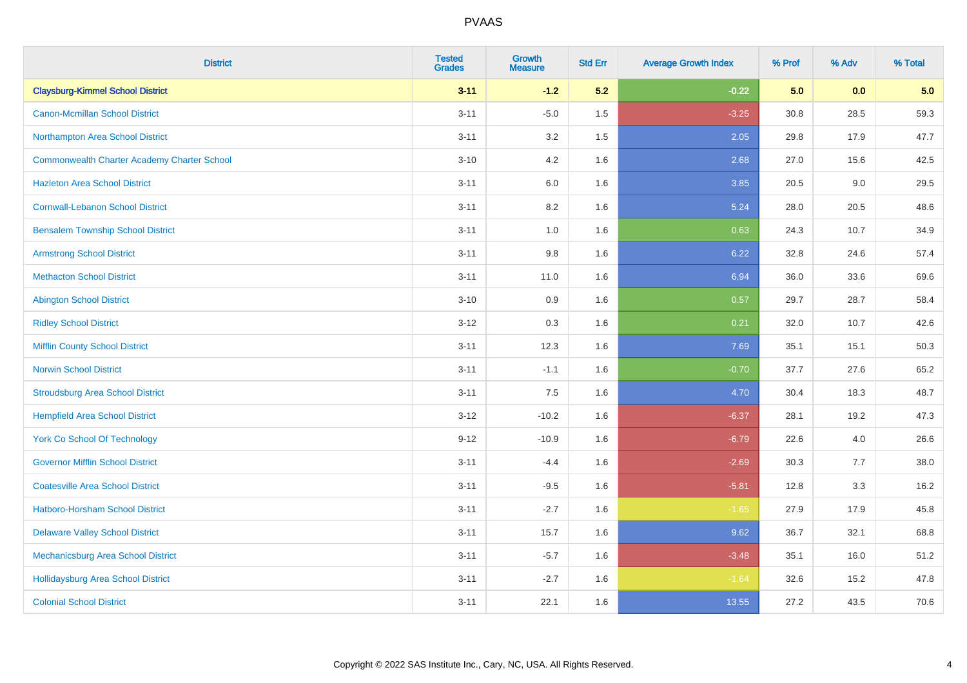| <b>District</b>                                    | <b>Tested</b><br><b>Grades</b> | <b>Growth</b><br><b>Measure</b> | <b>Std Err</b> | <b>Average Growth Index</b> | % Prof | % Adv | % Total |
|----------------------------------------------------|--------------------------------|---------------------------------|----------------|-----------------------------|--------|-------|---------|
| <b>Claysburg-Kimmel School District</b>            | $3 - 11$                       | $-1.2$                          | 5.2            | $-0.22$                     | 5.0    | 0.0   | 5.0     |
| <b>Canon-Mcmillan School District</b>              | $3 - 11$                       | $-5.0$                          | 1.5            | $-3.25$                     | 30.8   | 28.5  | 59.3    |
| Northampton Area School District                   | $3 - 11$                       | 3.2                             | 1.5            | 2.05                        | 29.8   | 17.9  | 47.7    |
| <b>Commonwealth Charter Academy Charter School</b> | $3 - 10$                       | 4.2                             | 1.6            | 2.68                        | 27.0   | 15.6  | 42.5    |
| <b>Hazleton Area School District</b>               | $3 - 11$                       | 6.0                             | 1.6            | 3.85                        | 20.5   | 9.0   | 29.5    |
| <b>Cornwall-Lebanon School District</b>            | $3 - 11$                       | 8.2                             | 1.6            | 5.24                        | 28.0   | 20.5  | 48.6    |
| <b>Bensalem Township School District</b>           | $3 - 11$                       | 1.0                             | 1.6            | 0.63                        | 24.3   | 10.7  | 34.9    |
| <b>Armstrong School District</b>                   | $3 - 11$                       | $9.8\,$                         | 1.6            | 6.22                        | 32.8   | 24.6  | 57.4    |
| <b>Methacton School District</b>                   | $3 - 11$                       | 11.0                            | 1.6            | 6.94                        | 36.0   | 33.6  | 69.6    |
| <b>Abington School District</b>                    | $3 - 10$                       | 0.9                             | 1.6            | 0.57                        | 29.7   | 28.7  | 58.4    |
| <b>Ridley School District</b>                      | $3 - 12$                       | 0.3                             | 1.6            | 0.21                        | 32.0   | 10.7  | 42.6    |
| <b>Mifflin County School District</b>              | $3 - 11$                       | 12.3                            | 1.6            | 7.69                        | 35.1   | 15.1  | 50.3    |
| <b>Norwin School District</b>                      | $3 - 11$                       | $-1.1$                          | 1.6            | $-0.70$                     | 37.7   | 27.6  | 65.2    |
| <b>Stroudsburg Area School District</b>            | $3 - 11$                       | 7.5                             | 1.6            | 4.70                        | 30.4   | 18.3  | 48.7    |
| <b>Hempfield Area School District</b>              | $3 - 12$                       | $-10.2$                         | 1.6            | $-6.37$                     | 28.1   | 19.2  | 47.3    |
| <b>York Co School Of Technology</b>                | $9 - 12$                       | $-10.9$                         | 1.6            | $-6.79$                     | 22.6   | 4.0   | 26.6    |
| <b>Governor Mifflin School District</b>            | $3 - 11$                       | $-4.4$                          | 1.6            | $-2.69$                     | 30.3   | 7.7   | 38.0    |
| <b>Coatesville Area School District</b>            | $3 - 11$                       | $-9.5$                          | 1.6            | $-5.81$                     | 12.8   | 3.3   | 16.2    |
| Hatboro-Horsham School District                    | $3 - 11$                       | $-2.7$                          | 1.6            | $-1.65$                     | 27.9   | 17.9  | 45.8    |
| <b>Delaware Valley School District</b>             | $3 - 11$                       | 15.7                            | 1.6            | 9.62                        | 36.7   | 32.1  | 68.8    |
| Mechanicsburg Area School District                 | $3 - 11$                       | $-5.7$                          | 1.6            | $-3.48$                     | 35.1   | 16.0  | 51.2    |
| Hollidaysburg Area School District                 | $3 - 11$                       | $-2.7$                          | 1.6            | $-1.64$                     | 32.6   | 15.2  | 47.8    |
| <b>Colonial School District</b>                    | $3 - 11$                       | 22.1                            | 1.6            | 13.55                       | 27.2   | 43.5  | 70.6    |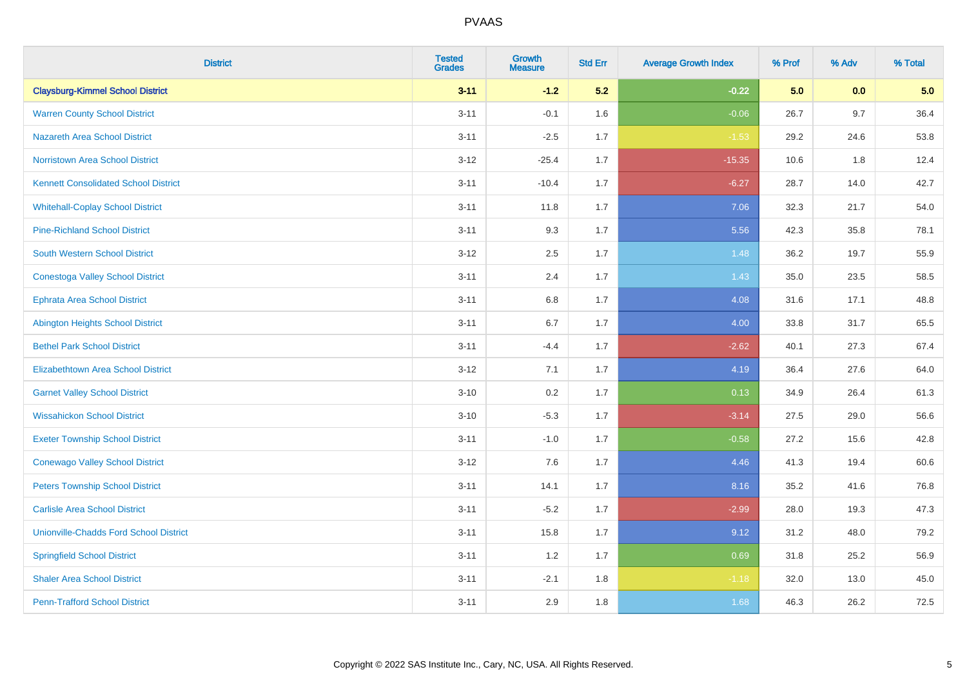| <b>District</b>                               | <b>Tested</b><br><b>Grades</b> | <b>Growth</b><br><b>Measure</b> | <b>Std Err</b> | <b>Average Growth Index</b> | % Prof | % Adv | % Total |
|-----------------------------------------------|--------------------------------|---------------------------------|----------------|-----------------------------|--------|-------|---------|
| <b>Claysburg-Kimmel School District</b>       | $3 - 11$                       | $-1.2$                          | 5.2            | $-0.22$                     | 5.0    | 0.0   | 5.0     |
| <b>Warren County School District</b>          | $3 - 11$                       | $-0.1$                          | 1.6            | $-0.06$                     | 26.7   | 9.7   | 36.4    |
| <b>Nazareth Area School District</b>          | $3 - 11$                       | $-2.5$                          | 1.7            | $-1.53$                     | 29.2   | 24.6  | 53.8    |
| <b>Norristown Area School District</b>        | $3-12$                         | $-25.4$                         | 1.7            | $-15.35$                    | 10.6   | 1.8   | 12.4    |
| <b>Kennett Consolidated School District</b>   | $3 - 11$                       | $-10.4$                         | 1.7            | $-6.27$                     | 28.7   | 14.0  | 42.7    |
| <b>Whitehall-Coplay School District</b>       | $3 - 11$                       | 11.8                            | 1.7            | 7.06                        | 32.3   | 21.7  | 54.0    |
| <b>Pine-Richland School District</b>          | $3 - 11$                       | 9.3                             | 1.7            | 5.56                        | 42.3   | 35.8  | 78.1    |
| <b>South Western School District</b>          | $3 - 12$                       | 2.5                             | 1.7            | 1.48                        | 36.2   | 19.7  | 55.9    |
| <b>Conestoga Valley School District</b>       | $3 - 11$                       | 2.4                             | 1.7            | 1.43                        | 35.0   | 23.5  | 58.5    |
| Ephrata Area School District                  | $3 - 11$                       | 6.8                             | 1.7            | 4.08                        | 31.6   | 17.1  | 48.8    |
| Abington Heights School District              | $3 - 11$                       | 6.7                             | 1.7            | 4.00                        | 33.8   | 31.7  | 65.5    |
| <b>Bethel Park School District</b>            | $3 - 11$                       | $-4.4$                          | 1.7            | $-2.62$                     | 40.1   | 27.3  | 67.4    |
| <b>Elizabethtown Area School District</b>     | $3 - 12$                       | 7.1                             | 1.7            | 4.19                        | 36.4   | 27.6  | 64.0    |
| <b>Garnet Valley School District</b>          | $3 - 10$                       | 0.2                             | 1.7            | 0.13                        | 34.9   | 26.4  | 61.3    |
| <b>Wissahickon School District</b>            | $3 - 10$                       | $-5.3$                          | 1.7            | $-3.14$                     | 27.5   | 29.0  | 56.6    |
| <b>Exeter Township School District</b>        | $3 - 11$                       | $-1.0$                          | 1.7            | $-0.58$                     | 27.2   | 15.6  | 42.8    |
| <b>Conewago Valley School District</b>        | $3 - 12$                       | 7.6                             | 1.7            | 4.46                        | 41.3   | 19.4  | 60.6    |
| <b>Peters Township School District</b>        | $3 - 11$                       | 14.1                            | 1.7            | 8.16                        | 35.2   | 41.6  | 76.8    |
| <b>Carlisle Area School District</b>          | $3 - 11$                       | $-5.2$                          | 1.7            | $-2.99$                     | 28.0   | 19.3  | 47.3    |
| <b>Unionville-Chadds Ford School District</b> | $3 - 11$                       | 15.8                            | 1.7            | 9.12                        | 31.2   | 48.0  | 79.2    |
| <b>Springfield School District</b>            | $3 - 11$                       | 1.2                             | 1.7            | 0.69                        | 31.8   | 25.2  | 56.9    |
| <b>Shaler Area School District</b>            | $3 - 11$                       | $-2.1$                          | 1.8            | $-1.18$                     | 32.0   | 13.0  | 45.0    |
| <b>Penn-Trafford School District</b>          | $3 - 11$                       | 2.9                             | 1.8            | 1.68                        | 46.3   | 26.2  | 72.5    |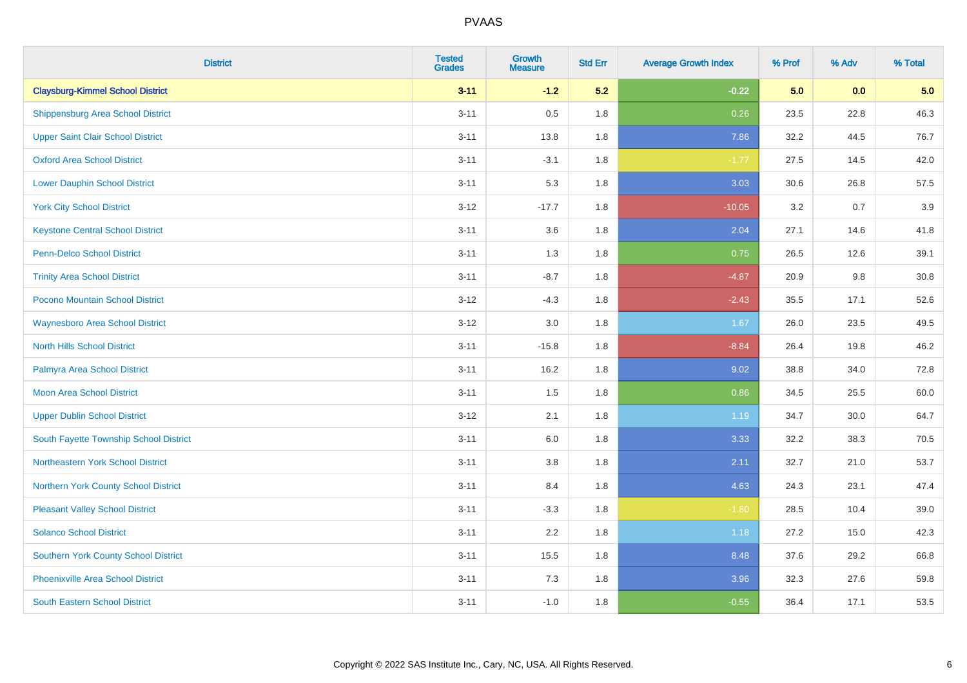| <b>District</b>                             | <b>Tested</b><br><b>Grades</b> | <b>Growth</b><br><b>Measure</b> | <b>Std Err</b> | <b>Average Growth Index</b> | % Prof | % Adv | % Total |
|---------------------------------------------|--------------------------------|---------------------------------|----------------|-----------------------------|--------|-------|---------|
| <b>Claysburg-Kimmel School District</b>     | $3 - 11$                       | $-1.2$                          | 5.2            | $-0.22$                     | 5.0    | 0.0   | 5.0     |
| <b>Shippensburg Area School District</b>    | $3 - 11$                       | 0.5                             | 1.8            | 0.26                        | 23.5   | 22.8  | 46.3    |
| <b>Upper Saint Clair School District</b>    | $3 - 11$                       | 13.8                            | 1.8            | 7.86                        | 32.2   | 44.5  | 76.7    |
| <b>Oxford Area School District</b>          | $3 - 11$                       | $-3.1$                          | 1.8            | $-1.77$                     | 27.5   | 14.5  | 42.0    |
| <b>Lower Dauphin School District</b>        | $3 - 11$                       | 5.3                             | 1.8            | 3.03                        | 30.6   | 26.8  | 57.5    |
| <b>York City School District</b>            | $3 - 12$                       | $-17.7$                         | 1.8            | $-10.05$                    | 3.2    | 0.7   | 3.9     |
| <b>Keystone Central School District</b>     | $3 - 11$                       | 3.6                             | 1.8            | 2.04                        | 27.1   | 14.6  | 41.8    |
| <b>Penn-Delco School District</b>           | $3 - 11$                       | 1.3                             | 1.8            | 0.75                        | 26.5   | 12.6  | 39.1    |
| <b>Trinity Area School District</b>         | $3 - 11$                       | $-8.7$                          | 1.8            | $-4.87$                     | 20.9   | 9.8   | 30.8    |
| <b>Pocono Mountain School District</b>      | $3 - 12$                       | $-4.3$                          | 1.8            | $-2.43$                     | 35.5   | 17.1  | 52.6    |
| <b>Waynesboro Area School District</b>      | $3 - 12$                       | 3.0                             | 1.8            | 1.67                        | 26.0   | 23.5  | 49.5    |
| <b>North Hills School District</b>          | $3 - 11$                       | $-15.8$                         | 1.8            | $-8.84$                     | 26.4   | 19.8  | 46.2    |
| Palmyra Area School District                | $3 - 11$                       | 16.2                            | 1.8            | 9.02                        | 38.8   | 34.0  | 72.8    |
| <b>Moon Area School District</b>            | $3 - 11$                       | 1.5                             | 1.8            | 0.86                        | 34.5   | 25.5  | 60.0    |
| <b>Upper Dublin School District</b>         | $3-12$                         | 2.1                             | 1.8            | 1.19                        | 34.7   | 30.0  | 64.7    |
| South Fayette Township School District      | $3 - 11$                       | 6.0                             | 1.8            | 3.33                        | 32.2   | 38.3  | 70.5    |
| Northeastern York School District           | $3 - 11$                       | 3.8                             | 1.8            | 2.11                        | 32.7   | 21.0  | 53.7    |
| Northern York County School District        | $3 - 11$                       | 8.4                             | 1.8            | 4.63                        | 24.3   | 23.1  | 47.4    |
| <b>Pleasant Valley School District</b>      | $3 - 11$                       | $-3.3$                          | 1.8            | $-1.80$                     | 28.5   | 10.4  | 39.0    |
| <b>Solanco School District</b>              | $3 - 11$                       | 2.2                             | 1.8            | 1.18                        | 27.2   | 15.0  | 42.3    |
| <b>Southern York County School District</b> | $3 - 11$                       | 15.5                            | 1.8            | 8.48                        | 37.6   | 29.2  | 66.8    |
| <b>Phoenixville Area School District</b>    | $3 - 11$                       | 7.3                             | 1.8            | 3.96                        | 32.3   | 27.6  | 59.8    |
| <b>South Eastern School District</b>        | $3 - 11$                       | $-1.0$                          | 1.8            | $-0.55$                     | 36.4   | 17.1  | 53.5    |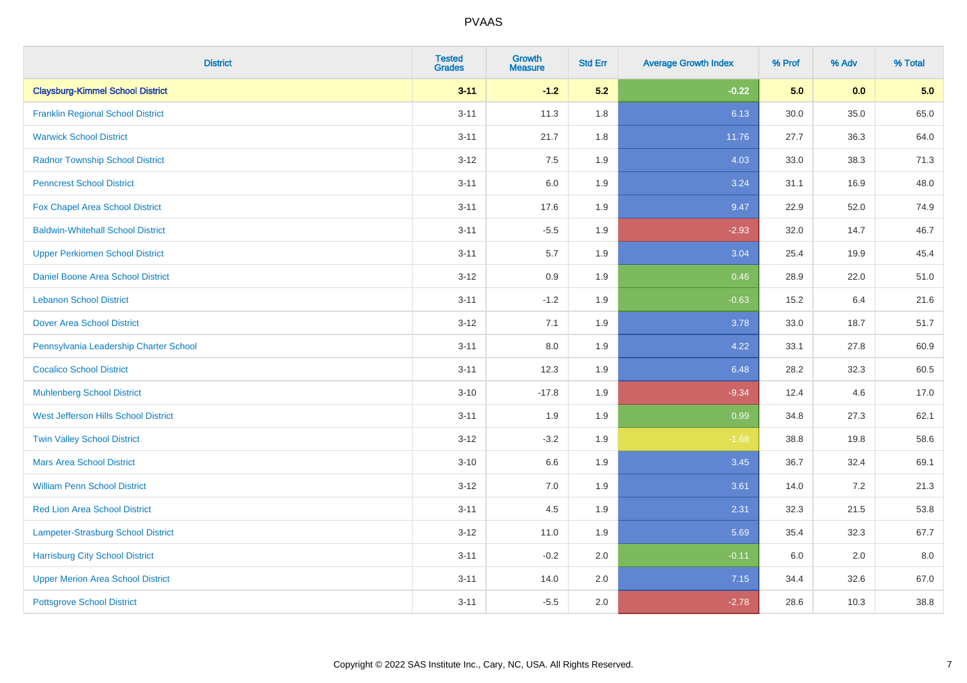| <b>District</b>                           | <b>Tested</b><br><b>Grades</b> | Growth<br><b>Measure</b> | <b>Std Err</b> | <b>Average Growth Index</b> | % Prof | % Adv | % Total |
|-------------------------------------------|--------------------------------|--------------------------|----------------|-----------------------------|--------|-------|---------|
| <b>Claysburg-Kimmel School District</b>   | $3 - 11$                       | $-1.2$                   | 5.2            | $-0.22$                     | 5.0    | 0.0   | 5.0     |
| <b>Franklin Regional School District</b>  | $3 - 11$                       | 11.3                     | 1.8            | 6.13                        | 30.0   | 35.0  | 65.0    |
| <b>Warwick School District</b>            | $3 - 11$                       | 21.7                     | 1.8            | 11.76                       | 27.7   | 36.3  | 64.0    |
| <b>Radnor Township School District</b>    | $3 - 12$                       | 7.5                      | 1.9            | 4.03                        | 33.0   | 38.3  | 71.3    |
| <b>Penncrest School District</b>          | $3 - 11$                       | 6.0                      | 1.9            | 3.24                        | 31.1   | 16.9  | 48.0    |
| Fox Chapel Area School District           | $3 - 11$                       | 17.6                     | 1.9            | 9.47                        | 22.9   | 52.0  | 74.9    |
| <b>Baldwin-Whitehall School District</b>  | $3 - 11$                       | $-5.5$                   | 1.9            | $-2.93$                     | 32.0   | 14.7  | 46.7    |
| <b>Upper Perkiomen School District</b>    | $3 - 11$                       | $5.7\,$                  | 1.9            | 3.04                        | 25.4   | 19.9  | 45.4    |
| Daniel Boone Area School District         | $3 - 12$                       | $0.9\,$                  | 1.9            | 0.46                        | 28.9   | 22.0  | 51.0    |
| <b>Lebanon School District</b>            | $3 - 11$                       | $-1.2$                   | 1.9            | $-0.63$                     | 15.2   | 6.4   | 21.6    |
| <b>Dover Area School District</b>         | $3 - 12$                       | 7.1                      | 1.9            | 3.78                        | 33.0   | 18.7  | 51.7    |
| Pennsylvania Leadership Charter School    | $3 - 11$                       | 8.0                      | 1.9            | 4.22                        | 33.1   | 27.8  | 60.9    |
| <b>Cocalico School District</b>           | $3 - 11$                       | 12.3                     | 1.9            | 6.48                        | 28.2   | 32.3  | 60.5    |
| <b>Muhlenberg School District</b>         | $3 - 10$                       | $-17.8$                  | 1.9            | $-9.34$                     | 12.4   | 4.6   | 17.0    |
| West Jefferson Hills School District      | $3 - 11$                       | 1.9                      | 1.9            | 0.99                        | 34.8   | 27.3  | 62.1    |
| <b>Twin Valley School District</b>        | $3 - 12$                       | $-3.2$                   | 1.9            | $-1.68$                     | 38.8   | 19.8  | 58.6    |
| <b>Mars Area School District</b>          | $3 - 10$                       | 6.6                      | 1.9            | 3.45                        | 36.7   | 32.4  | 69.1    |
| <b>William Penn School District</b>       | $3 - 12$                       | 7.0                      | 1.9            | 3.61                        | 14.0   | 7.2   | 21.3    |
| Red Lion Area School District             | $3 - 11$                       | 4.5                      | 1.9            | 2.31                        | 32.3   | 21.5  | 53.8    |
| <b>Lampeter-Strasburg School District</b> | $3 - 12$                       | 11.0                     | 1.9            | 5.69                        | 35.4   | 32.3  | 67.7    |
| <b>Harrisburg City School District</b>    | $3 - 11$                       | $-0.2$                   | 2.0            | $-0.11$                     | 6.0    | 2.0   | 8.0     |
| <b>Upper Merion Area School District</b>  | $3 - 11$                       | 14.0                     | 2.0            | 7.15                        | 34.4   | 32.6  | 67.0    |
| <b>Pottsgrove School District</b>         | $3 - 11$                       | $-5.5$                   | 2.0            | $-2.78$                     | 28.6   | 10.3  | 38.8    |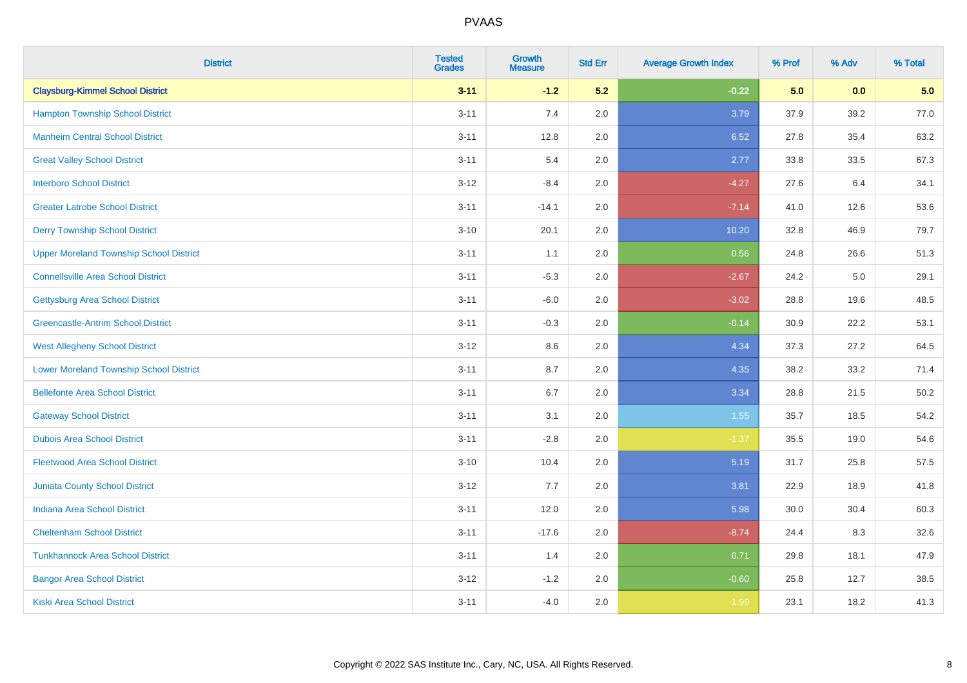| <b>District</b>                                | <b>Tested</b><br><b>Grades</b> | <b>Growth</b><br><b>Measure</b> | <b>Std Err</b> | <b>Average Growth Index</b> | % Prof | % Adv | % Total |
|------------------------------------------------|--------------------------------|---------------------------------|----------------|-----------------------------|--------|-------|---------|
| <b>Claysburg-Kimmel School District</b>        | $3 - 11$                       | $-1.2$                          | 5.2            | $-0.22$                     | 5.0    | 0.0   | 5.0     |
| <b>Hampton Township School District</b>        | $3 - 11$                       | 7.4                             | 2.0            | 3.79                        | 37.9   | 39.2  | 77.0    |
| <b>Manheim Central School District</b>         | $3 - 11$                       | 12.8                            | 2.0            | 6.52                        | 27.8   | 35.4  | 63.2    |
| <b>Great Valley School District</b>            | $3 - 11$                       | 5.4                             | 2.0            | 2.77                        | 33.8   | 33.5  | 67.3    |
| <b>Interboro School District</b>               | $3 - 12$                       | $-8.4$                          | 2.0            | $-4.27$                     | 27.6   | 6.4   | 34.1    |
| <b>Greater Latrobe School District</b>         | $3 - 11$                       | $-14.1$                         | 2.0            | $-7.14$                     | 41.0   | 12.6  | 53.6    |
| <b>Derry Township School District</b>          | $3 - 10$                       | 20.1                            | 2.0            | 10.20                       | 32.8   | 46.9  | 79.7    |
| <b>Upper Moreland Township School District</b> | $3 - 11$                       | 1.1                             | 2.0            | 0.56                        | 24.8   | 26.6  | 51.3    |
| <b>Connellsville Area School District</b>      | $3 - 11$                       | $-5.3$                          | 2.0            | $-2.67$                     | 24.2   | 5.0   | 29.1    |
| <b>Gettysburg Area School District</b>         | $3 - 11$                       | $-6.0$                          | 2.0            | $-3.02$                     | 28.8   | 19.6  | 48.5    |
| <b>Greencastle-Antrim School District</b>      | $3 - 11$                       | $-0.3$                          | 2.0            | $-0.14$                     | 30.9   | 22.2  | 53.1    |
| <b>West Allegheny School District</b>          | $3 - 12$                       | 8.6                             | 2.0            | 4.34                        | 37.3   | 27.2  | 64.5    |
| <b>Lower Moreland Township School District</b> | $3 - 11$                       | 8.7                             | 2.0            | 4.35                        | 38.2   | 33.2  | 71.4    |
| <b>Bellefonte Area School District</b>         | $3 - 11$                       | $6.7\,$                         | 2.0            | 3.34                        | 28.8   | 21.5  | 50.2    |
| <b>Gateway School District</b>                 | $3 - 11$                       | 3.1                             | 2.0            | 1.55                        | 35.7   | 18.5  | 54.2    |
| <b>Dubois Area School District</b>             | $3 - 11$                       | $-2.8$                          | 2.0            | $-1.37$                     | 35.5   | 19.0  | 54.6    |
| <b>Fleetwood Area School District</b>          | $3 - 10$                       | 10.4                            | 2.0            | 5.19                        | 31.7   | 25.8  | 57.5    |
| <b>Juniata County School District</b>          | $3 - 12$                       | 7.7                             | 2.0            | 3.81                        | 22.9   | 18.9  | 41.8    |
| <b>Indiana Area School District</b>            | $3 - 11$                       | 12.0                            | 2.0            | 5.98                        | 30.0   | 30.4  | 60.3    |
| <b>Cheltenham School District</b>              | $3 - 11$                       | $-17.6$                         | 2.0            | $-8.74$                     | 24.4   | 8.3   | 32.6    |
| <b>Tunkhannock Area School District</b>        | $3 - 11$                       | 1.4                             | 2.0            | 0.71                        | 29.8   | 18.1  | 47.9    |
| <b>Bangor Area School District</b>             | $3-12$                         | $-1.2$                          | 2.0            | $-0.60$                     | 25.8   | 12.7  | 38.5    |
| Kiski Area School District                     | $3 - 11$                       | $-4.0$                          | 2.0            | $-1.99$                     | 23.1   | 18.2  | 41.3    |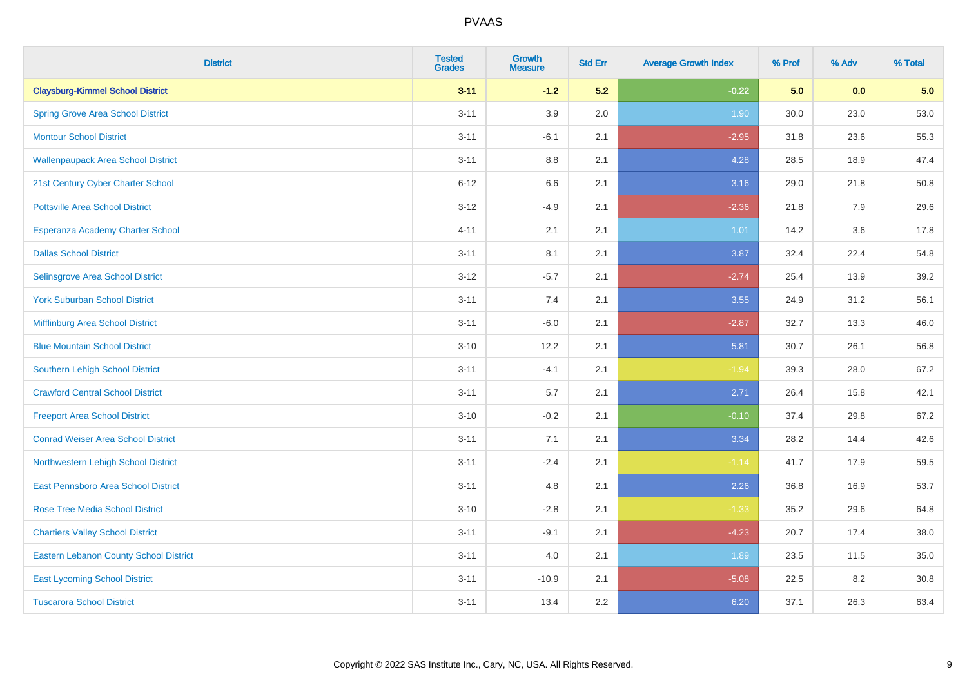| <b>District</b>                               | <b>Tested</b><br><b>Grades</b> | <b>Growth</b><br><b>Measure</b> | <b>Std Err</b> | <b>Average Growth Index</b> | % Prof | % Adv | % Total |
|-----------------------------------------------|--------------------------------|---------------------------------|----------------|-----------------------------|--------|-------|---------|
| <b>Claysburg-Kimmel School District</b>       | $3 - 11$                       | $-1.2$                          | 5.2            | $-0.22$                     | 5.0    | 0.0   | 5.0     |
| <b>Spring Grove Area School District</b>      | $3 - 11$                       | 3.9                             | 2.0            | 1.90                        | 30.0   | 23.0  | 53.0    |
| <b>Montour School District</b>                | $3 - 11$                       | $-6.1$                          | 2.1            | $-2.95$                     | 31.8   | 23.6  | 55.3    |
| <b>Wallenpaupack Area School District</b>     | $3 - 11$                       | $8.8\,$                         | 2.1            | 4.28                        | 28.5   | 18.9  | 47.4    |
| 21st Century Cyber Charter School             | $6 - 12$                       | 6.6                             | 2.1            | 3.16                        | 29.0   | 21.8  | 50.8    |
| <b>Pottsville Area School District</b>        | $3 - 12$                       | $-4.9$                          | 2.1            | $-2.36$                     | 21.8   | 7.9   | 29.6    |
| Esperanza Academy Charter School              | $4 - 11$                       | 2.1                             | 2.1            | 1.01                        | 14.2   | 3.6   | 17.8    |
| <b>Dallas School District</b>                 | $3 - 11$                       | 8.1                             | 2.1            | 3.87                        | 32.4   | 22.4  | 54.8    |
| Selinsgrove Area School District              | $3 - 12$                       | $-5.7$                          | 2.1            | $-2.74$                     | 25.4   | 13.9  | 39.2    |
| <b>York Suburban School District</b>          | $3 - 11$                       | 7.4                             | 2.1            | 3.55                        | 24.9   | 31.2  | 56.1    |
| Mifflinburg Area School District              | $3 - 11$                       | $-6.0$                          | 2.1            | $-2.87$                     | 32.7   | 13.3  | 46.0    |
| <b>Blue Mountain School District</b>          | $3 - 10$                       | 12.2                            | 2.1            | 5.81                        | 30.7   | 26.1  | 56.8    |
| <b>Southern Lehigh School District</b>        | $3 - 11$                       | $-4.1$                          | 2.1            | $-1.94$                     | 39.3   | 28.0  | 67.2    |
| <b>Crawford Central School District</b>       | $3 - 11$                       | 5.7                             | 2.1            | 2.71                        | 26.4   | 15.8  | 42.1    |
| <b>Freeport Area School District</b>          | $3 - 10$                       | $-0.2$                          | 2.1            | $-0.10$                     | 37.4   | 29.8  | 67.2    |
| <b>Conrad Weiser Area School District</b>     | $3 - 11$                       | 7.1                             | 2.1            | 3.34                        | 28.2   | 14.4  | 42.6    |
| Northwestern Lehigh School District           | $3 - 11$                       | $-2.4$                          | 2.1            | $-1.14$                     | 41.7   | 17.9  | 59.5    |
| East Pennsboro Area School District           | $3 - 11$                       | 4.8                             | 2.1            | 2.26                        | 36.8   | 16.9  | 53.7    |
| <b>Rose Tree Media School District</b>        | $3 - 10$                       | $-2.8$                          | 2.1            | $-1.33$                     | 35.2   | 29.6  | 64.8    |
| <b>Chartiers Valley School District</b>       | $3 - 11$                       | $-9.1$                          | 2.1            | $-4.23$                     | 20.7   | 17.4  | 38.0    |
| <b>Eastern Lebanon County School District</b> | $3 - 11$                       | 4.0                             | 2.1            | 1.89                        | 23.5   | 11.5  | 35.0    |
| <b>East Lycoming School District</b>          | $3 - 11$                       | $-10.9$                         | 2.1            | $-5.08$                     | 22.5   | 8.2   | 30.8    |
| <b>Tuscarora School District</b>              | $3 - 11$                       | 13.4                            | 2.2            | 6.20                        | 37.1   | 26.3  | 63.4    |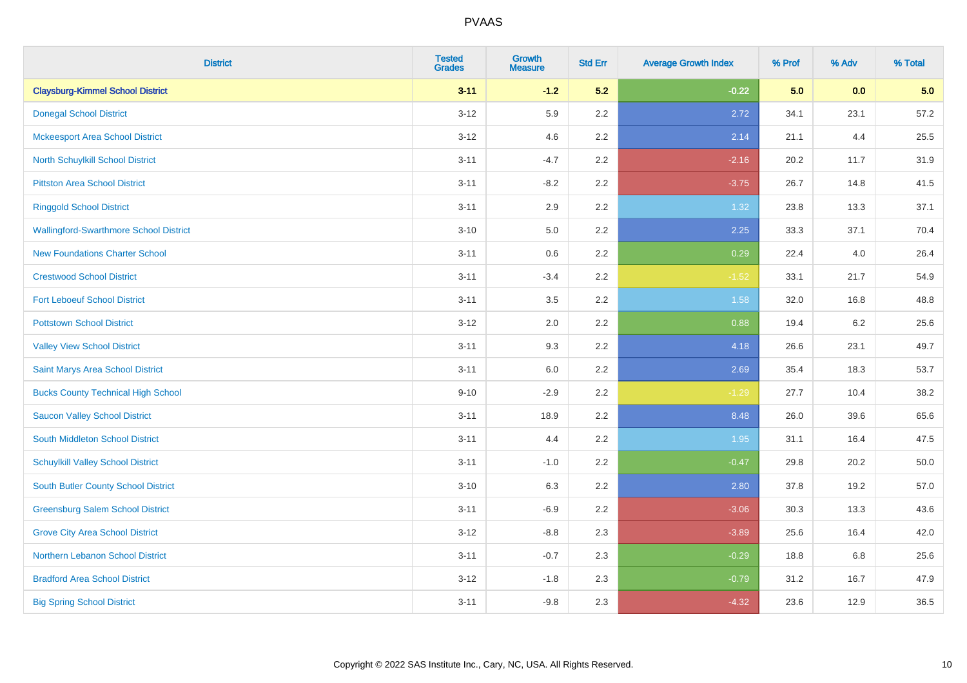| <b>District</b>                               | <b>Tested</b><br><b>Grades</b> | <b>Growth</b><br><b>Measure</b> | <b>Std Err</b> | <b>Average Growth Index</b> | % Prof | % Adv | % Total |
|-----------------------------------------------|--------------------------------|---------------------------------|----------------|-----------------------------|--------|-------|---------|
| <b>Claysburg-Kimmel School District</b>       | $3 - 11$                       | $-1.2$                          | 5.2            | $-0.22$                     | 5.0    | 0.0   | 5.0     |
| <b>Donegal School District</b>                | $3 - 12$                       | 5.9                             | 2.2            | 2.72                        | 34.1   | 23.1  | 57.2    |
| <b>Mckeesport Area School District</b>        | $3 - 12$                       | 4.6                             | 2.2            | 2.14                        | 21.1   | 4.4   | 25.5    |
| North Schuylkill School District              | $3 - 11$                       | $-4.7$                          | 2.2            | $-2.16$                     | 20.2   | 11.7  | 31.9    |
| <b>Pittston Area School District</b>          | $3 - 11$                       | $-8.2$                          | 2.2            | $-3.75$                     | 26.7   | 14.8  | 41.5    |
| <b>Ringgold School District</b>               | $3 - 11$                       | 2.9                             | 2.2            | 1.32                        | 23.8   | 13.3  | 37.1    |
| <b>Wallingford-Swarthmore School District</b> | $3 - 10$                       | 5.0                             | 2.2            | 2.25                        | 33.3   | 37.1  | 70.4    |
| <b>New Foundations Charter School</b>         | $3 - 11$                       | 0.6                             | 2.2            | 0.29                        | 22.4   | 4.0   | 26.4    |
| <b>Crestwood School District</b>              | $3 - 11$                       | $-3.4$                          | 2.2            | $-1.52$                     | 33.1   | 21.7  | 54.9    |
| <b>Fort Leboeuf School District</b>           | $3 - 11$                       | 3.5                             | 2.2            | 1.58                        | 32.0   | 16.8  | 48.8    |
| <b>Pottstown School District</b>              | $3 - 12$                       | 2.0                             | 2.2            | 0.88                        | 19.4   | 6.2   | 25.6    |
| <b>Valley View School District</b>            | $3 - 11$                       | 9.3                             | 2.2            | 4.18                        | 26.6   | 23.1  | 49.7    |
| Saint Marys Area School District              | $3 - 11$                       | $6.0\,$                         | 2.2            | 2.69                        | 35.4   | 18.3  | 53.7    |
| <b>Bucks County Technical High School</b>     | $9 - 10$                       | $-2.9$                          | 2.2            | $-1.29$                     | 27.7   | 10.4  | 38.2    |
| <b>Saucon Valley School District</b>          | $3 - 11$                       | 18.9                            | 2.2            | 8.48                        | 26.0   | 39.6  | 65.6    |
| South Middleton School District               | $3 - 11$                       | 4.4                             | 2.2            | 1.95                        | 31.1   | 16.4  | 47.5    |
| <b>Schuylkill Valley School District</b>      | $3 - 11$                       | $-1.0$                          | 2.2            | $-0.47$                     | 29.8   | 20.2  | 50.0    |
| South Butler County School District           | $3 - 10$                       | 6.3                             | 2.2            | 2.80                        | 37.8   | 19.2  | 57.0    |
| <b>Greensburg Salem School District</b>       | $3 - 11$                       | $-6.9$                          | 2.2            | $-3.06$                     | 30.3   | 13.3  | 43.6    |
| <b>Grove City Area School District</b>        | $3 - 12$                       | $-8.8$                          | 2.3            | $-3.89$                     | 25.6   | 16.4  | 42.0    |
| Northern Lebanon School District              | $3 - 11$                       | $-0.7$                          | 2.3            | $-0.29$                     | 18.8   | 6.8   | 25.6    |
| <b>Bradford Area School District</b>          | $3-12$                         | $-1.8$                          | 2.3            | $-0.79$                     | 31.2   | 16.7  | 47.9    |
| <b>Big Spring School District</b>             | $3 - 11$                       | $-9.8$                          | 2.3            | $-4.32$                     | 23.6   | 12.9  | 36.5    |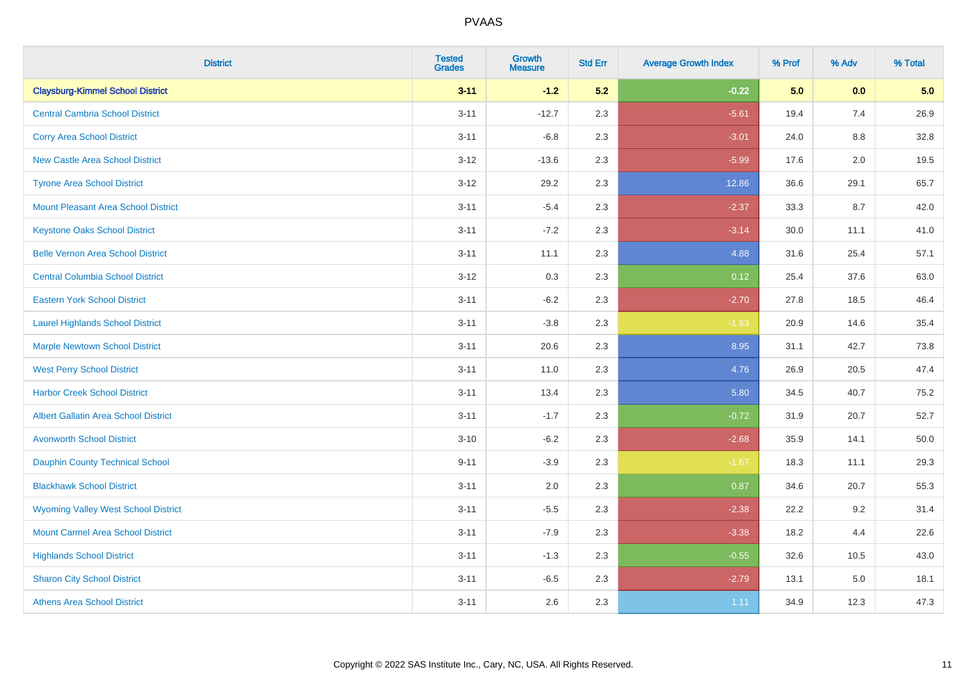| <b>District</b>                             | <b>Tested</b><br><b>Grades</b> | <b>Growth</b><br><b>Measure</b> | <b>Std Err</b> | <b>Average Growth Index</b> | % Prof | % Adv   | % Total |
|---------------------------------------------|--------------------------------|---------------------------------|----------------|-----------------------------|--------|---------|---------|
| <b>Claysburg-Kimmel School District</b>     | $3 - 11$                       | $-1.2$                          | 5.2            | $-0.22$                     | 5.0    | 0.0     | 5.0     |
| <b>Central Cambria School District</b>      | $3 - 11$                       | $-12.7$                         | 2.3            | $-5.61$                     | 19.4   | 7.4     | 26.9    |
| <b>Corry Area School District</b>           | $3 - 11$                       | $-6.8$                          | 2.3            | $-3.01$                     | 24.0   | $8.8\,$ | 32.8    |
| <b>New Castle Area School District</b>      | $3 - 12$                       | $-13.6$                         | 2.3            | $-5.99$                     | 17.6   | 2.0     | 19.5    |
| <b>Tyrone Area School District</b>          | $3 - 12$                       | 29.2                            | 2.3            | 12.86                       | 36.6   | 29.1    | 65.7    |
| <b>Mount Pleasant Area School District</b>  | $3 - 11$                       | $-5.4$                          | 2.3            | $-2.37$                     | 33.3   | 8.7     | 42.0    |
| <b>Keystone Oaks School District</b>        | $3 - 11$                       | $-7.2$                          | 2.3            | $-3.14$                     | 30.0   | 11.1    | 41.0    |
| <b>Belle Vernon Area School District</b>    | $3 - 11$                       | 11.1                            | 2.3            | 4.88                        | 31.6   | 25.4    | 57.1    |
| <b>Central Columbia School District</b>     | $3 - 12$                       | 0.3                             | 2.3            | 0.12                        | 25.4   | 37.6    | 63.0    |
| <b>Eastern York School District</b>         | $3 - 11$                       | $-6.2$                          | 2.3            | $-2.70$                     | 27.8   | 18.5    | 46.4    |
| <b>Laurel Highlands School District</b>     | $3 - 11$                       | $-3.8$                          | 2.3            | $-1.63$                     | 20.9   | 14.6    | 35.4    |
| <b>Marple Newtown School District</b>       | $3 - 11$                       | 20.6                            | 2.3            | 8.95                        | 31.1   | 42.7    | 73.8    |
| <b>West Perry School District</b>           | $3 - 11$                       | 11.0                            | 2.3            | 4.76                        | 26.9   | 20.5    | 47.4    |
| <b>Harbor Creek School District</b>         | $3 - 11$                       | 13.4                            | 2.3            | 5.80                        | 34.5   | 40.7    | 75.2    |
| <b>Albert Gallatin Area School District</b> | $3 - 11$                       | $-1.7$                          | 2.3            | $-0.72$                     | 31.9   | 20.7    | 52.7    |
| <b>Avonworth School District</b>            | $3 - 10$                       | $-6.2$                          | 2.3            | $-2.68$                     | 35.9   | 14.1    | 50.0    |
| <b>Dauphin County Technical School</b>      | $9 - 11$                       | $-3.9$                          | 2.3            | $-1.67$                     | 18.3   | 11.1    | 29.3    |
| <b>Blackhawk School District</b>            | $3 - 11$                       | 2.0                             | 2.3            | 0.87                        | 34.6   | 20.7    | 55.3    |
| <b>Wyoming Valley West School District</b>  | $3 - 11$                       | $-5.5$                          | 2.3            | $-2.38$                     | 22.2   | 9.2     | 31.4    |
| <b>Mount Carmel Area School District</b>    | $3 - 11$                       | $-7.9$                          | 2.3            | $-3.38$                     | 18.2   | 4.4     | 22.6    |
| <b>Highlands School District</b>            | $3 - 11$                       | $-1.3$                          | 2.3            | $-0.55$                     | 32.6   | 10.5    | 43.0    |
| <b>Sharon City School District</b>          | $3 - 11$                       | $-6.5$                          | 2.3            | $-2.79$                     | 13.1   | 5.0     | 18.1    |
| <b>Athens Area School District</b>          | $3 - 11$                       | 2.6                             | 2.3            | 1.11                        | 34.9   | 12.3    | 47.3    |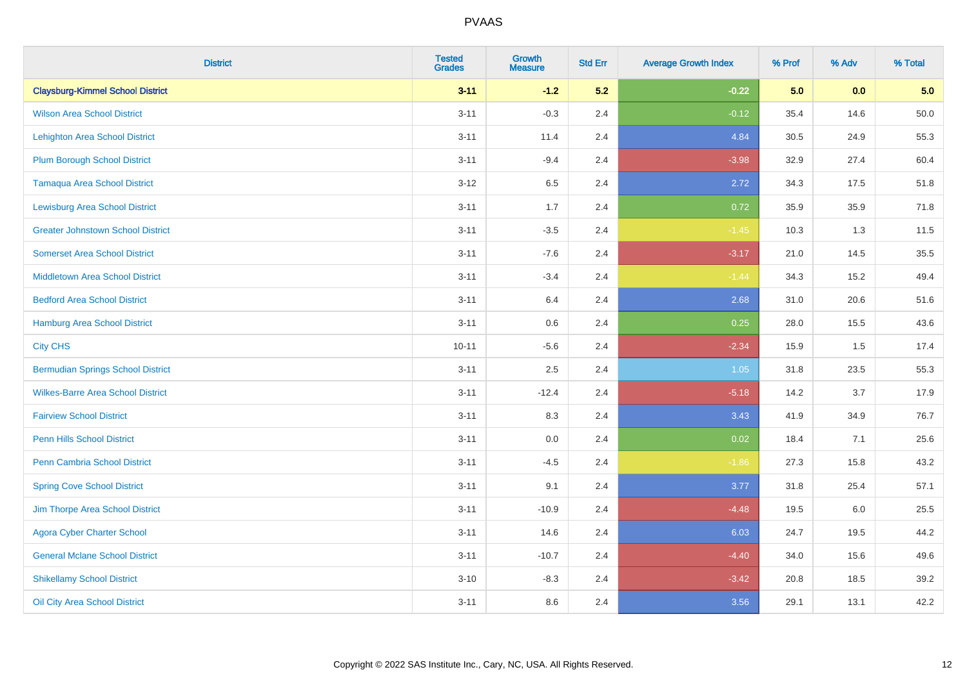| <b>District</b>                          | <b>Tested</b><br><b>Grades</b> | <b>Growth</b><br><b>Measure</b> | <b>Std Err</b> | <b>Average Growth Index</b> | % Prof | % Adv   | % Total  |
|------------------------------------------|--------------------------------|---------------------------------|----------------|-----------------------------|--------|---------|----------|
| <b>Claysburg-Kimmel School District</b>  | $3 - 11$                       | $-1.2$                          | 5.2            | $-0.22$                     | 5.0    | 0.0     | 5.0      |
| <b>Wilson Area School District</b>       | $3 - 11$                       | $-0.3$                          | 2.4            | $-0.12$                     | 35.4   | 14.6    | $50.0\,$ |
| <b>Lehighton Area School District</b>    | $3 - 11$                       | 11.4                            | 2.4            | 4.84                        | 30.5   | 24.9    | 55.3     |
| Plum Borough School District             | $3 - 11$                       | $-9.4$                          | 2.4            | $-3.98$                     | 32.9   | 27.4    | 60.4     |
| <b>Tamaqua Area School District</b>      | $3 - 12$                       | 6.5                             | 2.4            | 2.72                        | 34.3   | 17.5    | 51.8     |
| <b>Lewisburg Area School District</b>    | $3 - 11$                       | 1.7                             | 2.4            | 0.72                        | 35.9   | 35.9    | 71.8     |
| <b>Greater Johnstown School District</b> | $3 - 11$                       | $-3.5$                          | 2.4            | $-1.45$                     | 10.3   | 1.3     | 11.5     |
| <b>Somerset Area School District</b>     | $3 - 11$                       | $-7.6$                          | 2.4            | $-3.17$                     | 21.0   | 14.5    | 35.5     |
| <b>Middletown Area School District</b>   | $3 - 11$                       | $-3.4$                          | 2.4            | $-1.44$                     | 34.3   | 15.2    | 49.4     |
| <b>Bedford Area School District</b>      | $3 - 11$                       | 6.4                             | 2.4            | 2.68                        | 31.0   | 20.6    | 51.6     |
| Hamburg Area School District             | $3 - 11$                       | 0.6                             | 2.4            | 0.25                        | 28.0   | 15.5    | 43.6     |
| <b>City CHS</b>                          | $10 - 11$                      | $-5.6$                          | 2.4            | $-2.34$                     | 15.9   | 1.5     | 17.4     |
| <b>Bermudian Springs School District</b> | $3 - 11$                       | 2.5                             | 2.4            | $1.05$                      | 31.8   | 23.5    | 55.3     |
| <b>Wilkes-Barre Area School District</b> | $3 - 11$                       | $-12.4$                         | 2.4            | $-5.18$                     | 14.2   | 3.7     | 17.9     |
| <b>Fairview School District</b>          | $3 - 11$                       | 8.3                             | 2.4            | 3.43                        | 41.9   | 34.9    | 76.7     |
| Penn Hills School District               | $3 - 11$                       | 0.0                             | 2.4            | 0.02                        | 18.4   | 7.1     | 25.6     |
| Penn Cambria School District             | $3 - 11$                       | $-4.5$                          | 2.4            | $-1.86$                     | 27.3   | 15.8    | 43.2     |
| <b>Spring Cove School District</b>       | $3 - 11$                       | 9.1                             | 2.4            | 3.77                        | 31.8   | 25.4    | 57.1     |
| Jim Thorpe Area School District          | $3 - 11$                       | $-10.9$                         | 2.4            | $-4.48$                     | 19.5   | $6.0\,$ | 25.5     |
| <b>Agora Cyber Charter School</b>        | $3 - 11$                       | 14.6                            | 2.4            | 6.03                        | 24.7   | 19.5    | 44.2     |
| <b>General Mclane School District</b>    | $3 - 11$                       | $-10.7$                         | 2.4            | $-4.40$                     | 34.0   | 15.6    | 49.6     |
| <b>Shikellamy School District</b>        | $3 - 10$                       | $-8.3$                          | 2.4            | $-3.42$                     | 20.8   | 18.5    | 39.2     |
| Oil City Area School District            | $3 - 11$                       | 8.6                             | 2.4            | 3.56                        | 29.1   | 13.1    | 42.2     |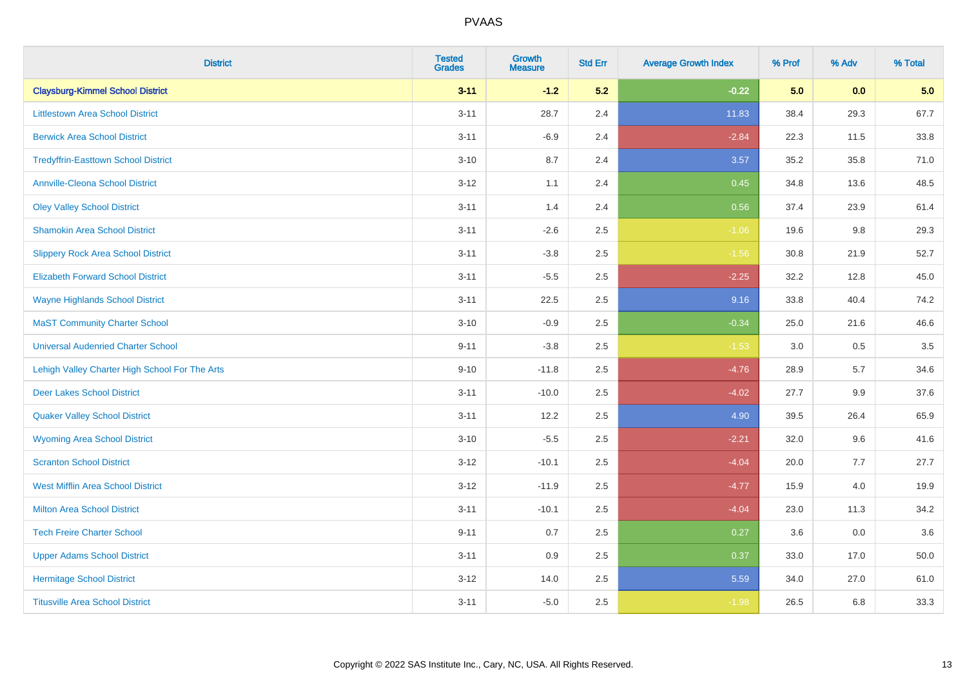| <b>District</b>                                | <b>Tested</b><br><b>Grades</b> | <b>Growth</b><br><b>Measure</b> | <b>Std Err</b> | <b>Average Growth Index</b> | % Prof | % Adv | % Total |
|------------------------------------------------|--------------------------------|---------------------------------|----------------|-----------------------------|--------|-------|---------|
| <b>Claysburg-Kimmel School District</b>        | $3 - 11$                       | $-1.2$                          | 5.2            | $-0.22$                     | 5.0    | 0.0   | 5.0     |
| <b>Littlestown Area School District</b>        | $3 - 11$                       | 28.7                            | 2.4            | 11.83                       | 38.4   | 29.3  | 67.7    |
| <b>Berwick Area School District</b>            | $3 - 11$                       | $-6.9$                          | 2.4            | $-2.84$                     | 22.3   | 11.5  | 33.8    |
| <b>Tredyffrin-Easttown School District</b>     | $3 - 10$                       | 8.7                             | 2.4            | 3.57                        | 35.2   | 35.8  | 71.0    |
| <b>Annville-Cleona School District</b>         | $3 - 12$                       | 1.1                             | 2.4            | 0.45                        | 34.8   | 13.6  | 48.5    |
| <b>Oley Valley School District</b>             | $3 - 11$                       | 1.4                             | 2.4            | 0.56                        | 37.4   | 23.9  | 61.4    |
| <b>Shamokin Area School District</b>           | $3 - 11$                       | $-2.6$                          | 2.5            | $-1.06$                     | 19.6   | 9.8   | 29.3    |
| <b>Slippery Rock Area School District</b>      | $3 - 11$                       | $-3.8$                          | 2.5            | $-1.56$                     | 30.8   | 21.9  | 52.7    |
| <b>Elizabeth Forward School District</b>       | $3 - 11$                       | $-5.5$                          | 2.5            | $-2.25$                     | 32.2   | 12.8  | 45.0    |
| <b>Wayne Highlands School District</b>         | $3 - 11$                       | 22.5                            | 2.5            | 9.16                        | 33.8   | 40.4  | 74.2    |
| <b>MaST Community Charter School</b>           | $3 - 10$                       | $-0.9$                          | 2.5            | $-0.34$                     | 25.0   | 21.6  | 46.6    |
| <b>Universal Audenried Charter School</b>      | $9 - 11$                       | $-3.8$                          | 2.5            | $-1.53$                     | 3.0    | 0.5   | 3.5     |
| Lehigh Valley Charter High School For The Arts | $9 - 10$                       | $-11.8$                         | 2.5            | $-4.76$                     | 28.9   | 5.7   | 34.6    |
| <b>Deer Lakes School District</b>              | $3 - 11$                       | $-10.0$                         | 2.5            | $-4.02$                     | 27.7   | 9.9   | 37.6    |
| <b>Quaker Valley School District</b>           | $3 - 11$                       | 12.2                            | 2.5            | 4.90                        | 39.5   | 26.4  | 65.9    |
| <b>Wyoming Area School District</b>            | $3 - 10$                       | $-5.5$                          | 2.5            | $-2.21$                     | 32.0   | 9.6   | 41.6    |
| <b>Scranton School District</b>                | $3 - 12$                       | $-10.1$                         | 2.5            | $-4.04$                     | 20.0   | 7.7   | 27.7    |
| <b>West Mifflin Area School District</b>       | $3 - 12$                       | $-11.9$                         | 2.5            | $-4.77$                     | 15.9   | 4.0   | 19.9    |
| <b>Milton Area School District</b>             | $3 - 11$                       | $-10.1$                         | 2.5            | $-4.04$                     | 23.0   | 11.3  | 34.2    |
| <b>Tech Freire Charter School</b>              | $9 - 11$                       | 0.7                             | 2.5            | 0.27                        | 3.6    | 0.0   | 3.6     |
| <b>Upper Adams School District</b>             | $3 - 11$                       | 0.9                             | 2.5            | 0.37                        | 33.0   | 17.0  | 50.0    |
| <b>Hermitage School District</b>               | $3-12$                         | 14.0                            | 2.5            | 5.59                        | 34.0   | 27.0  | 61.0    |
| <b>Titusville Area School District</b>         | $3 - 11$                       | $-5.0$                          | 2.5            | $-1.98$                     | 26.5   | 6.8   | 33.3    |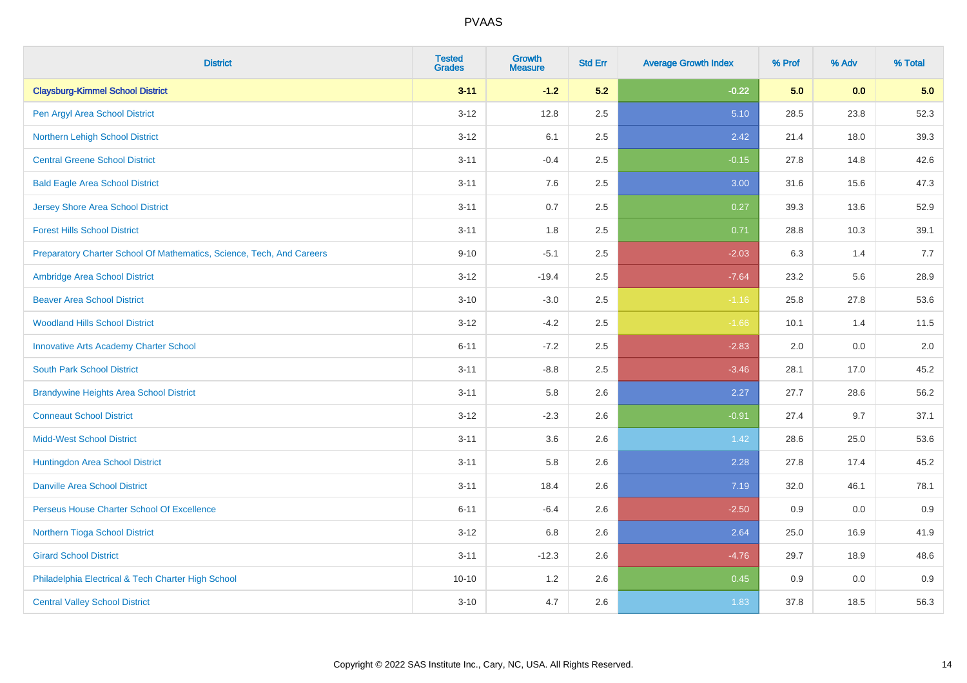| <b>District</b>                                                       | <b>Tested</b><br><b>Grades</b> | <b>Growth</b><br><b>Measure</b> | <b>Std Err</b> | <b>Average Growth Index</b> | % Prof | % Adv | % Total |
|-----------------------------------------------------------------------|--------------------------------|---------------------------------|----------------|-----------------------------|--------|-------|---------|
| <b>Claysburg-Kimmel School District</b>                               | $3 - 11$                       | $-1.2$                          | 5.2            | $-0.22$                     | 5.0    | 0.0   | 5.0     |
| Pen Argyl Area School District                                        | $3 - 12$                       | 12.8                            | 2.5            | 5.10                        | 28.5   | 23.8  | 52.3    |
| Northern Lehigh School District                                       | $3 - 12$                       | 6.1                             | 2.5            | 2.42                        | 21.4   | 18.0  | 39.3    |
| <b>Central Greene School District</b>                                 | $3 - 11$                       | $-0.4$                          | 2.5            | $-0.15$                     | 27.8   | 14.8  | 42.6    |
| <b>Bald Eagle Area School District</b>                                | $3 - 11$                       | 7.6                             | 2.5            | 3.00                        | 31.6   | 15.6  | 47.3    |
| <b>Jersey Shore Area School District</b>                              | $3 - 11$                       | 0.7                             | 2.5            | 0.27                        | 39.3   | 13.6  | 52.9    |
| <b>Forest Hills School District</b>                                   | $3 - 11$                       | 1.8                             | 2.5            | 0.71                        | 28.8   | 10.3  | 39.1    |
| Preparatory Charter School Of Mathematics, Science, Tech, And Careers | $9 - 10$                       | $-5.1$                          | 2.5            | $-2.03$                     | 6.3    | 1.4   | 7.7     |
| Ambridge Area School District                                         | $3 - 12$                       | $-19.4$                         | 2.5            | $-7.64$                     | 23.2   | 5.6   | 28.9    |
| <b>Beaver Area School District</b>                                    | $3 - 10$                       | $-3.0$                          | 2.5            | $-1.16$                     | 25.8   | 27.8  | 53.6    |
| <b>Woodland Hills School District</b>                                 | $3 - 12$                       | $-4.2$                          | 2.5            | $-1.66$                     | 10.1   | 1.4   | 11.5    |
| <b>Innovative Arts Academy Charter School</b>                         | $6 - 11$                       | $-7.2$                          | 2.5            | $-2.83$                     | 2.0    | 0.0   | 2.0     |
| <b>South Park School District</b>                                     | $3 - 11$                       | $-8.8$                          | 2.5            | $-3.46$                     | 28.1   | 17.0  | 45.2    |
| <b>Brandywine Heights Area School District</b>                        | $3 - 11$                       | 5.8                             | 2.6            | 2.27                        | 27.7   | 28.6  | 56.2    |
| <b>Conneaut School District</b>                                       | $3 - 12$                       | $-2.3$                          | 2.6            | $-0.91$                     | 27.4   | 9.7   | 37.1    |
| <b>Midd-West School District</b>                                      | $3 - 11$                       | 3.6                             | 2.6            | 1.42                        | 28.6   | 25.0  | 53.6    |
| Huntingdon Area School District                                       | $3 - 11$                       | 5.8                             | 2.6            | 2.28                        | 27.8   | 17.4  | 45.2    |
| <b>Danville Area School District</b>                                  | $3 - 11$                       | 18.4                            | 2.6            | 7.19                        | 32.0   | 46.1  | 78.1    |
| Perseus House Charter School Of Excellence                            | $6 - 11$                       | $-6.4$                          | 2.6            | $-2.50$                     | 0.9    | 0.0   | 0.9     |
| Northern Tioga School District                                        | $3 - 12$                       | 6.8                             | 2.6            | 2.64                        | 25.0   | 16.9  | 41.9    |
| <b>Girard School District</b>                                         | $3 - 11$                       | $-12.3$                         | 2.6            | $-4.76$                     | 29.7   | 18.9  | 48.6    |
| Philadelphia Electrical & Tech Charter High School                    | $10 - 10$                      | 1.2                             | 2.6            | 0.45                        | 0.9    | 0.0   | 0.9     |
| <b>Central Valley School District</b>                                 | $3 - 10$                       | 4.7                             | 2.6            | 1.83                        | 37.8   | 18.5  | 56.3    |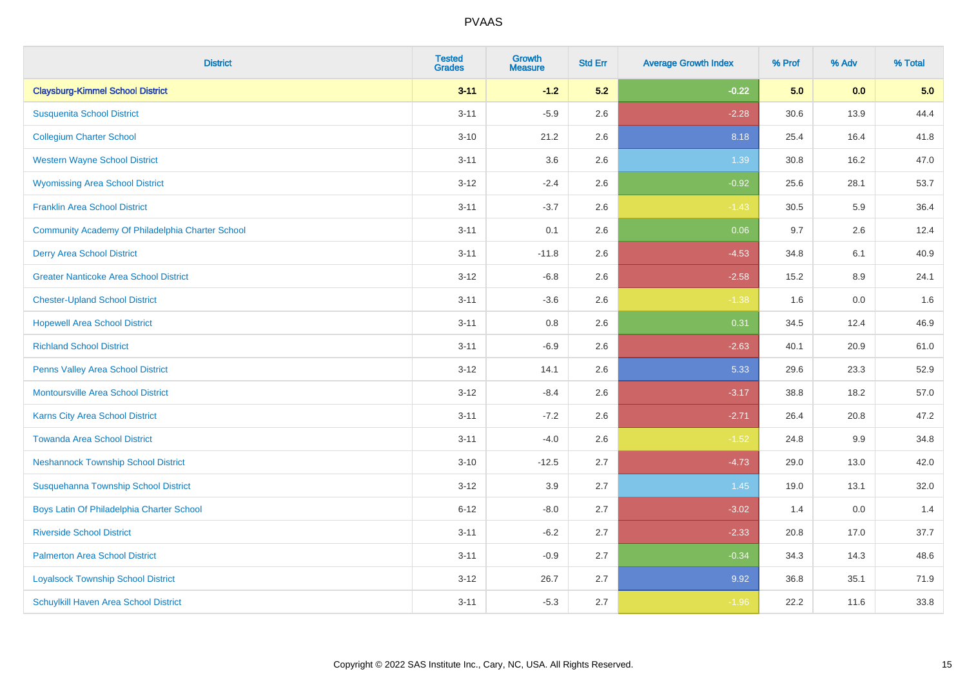| <b>District</b>                                  | <b>Tested</b><br><b>Grades</b> | <b>Growth</b><br><b>Measure</b> | <b>Std Err</b> | <b>Average Growth Index</b> | % Prof | % Adv | % Total |
|--------------------------------------------------|--------------------------------|---------------------------------|----------------|-----------------------------|--------|-------|---------|
| <b>Claysburg-Kimmel School District</b>          | $3 - 11$                       | $-1.2$                          | 5.2            | $-0.22$                     | 5.0    | 0.0   | 5.0     |
| <b>Susquenita School District</b>                | $3 - 11$                       | $-5.9$                          | 2.6            | $-2.28$                     | 30.6   | 13.9  | 44.4    |
| <b>Collegium Charter School</b>                  | $3 - 10$                       | 21.2                            | 2.6            | 8.18                        | 25.4   | 16.4  | 41.8    |
| <b>Western Wayne School District</b>             | $3 - 11$                       | 3.6                             | 2.6            | 1.39                        | 30.8   | 16.2  | 47.0    |
| <b>Wyomissing Area School District</b>           | $3-12$                         | $-2.4$                          | 2.6            | $-0.92$                     | 25.6   | 28.1  | 53.7    |
| <b>Franklin Area School District</b>             | $3 - 11$                       | $-3.7$                          | 2.6            | $-1.43$                     | 30.5   | 5.9   | 36.4    |
| Community Academy Of Philadelphia Charter School | $3 - 11$                       | 0.1                             | 2.6            | 0.06                        | 9.7    | 2.6   | 12.4    |
| <b>Derry Area School District</b>                | $3 - 11$                       | $-11.8$                         | 2.6            | $-4.53$                     | 34.8   | 6.1   | 40.9    |
| <b>Greater Nanticoke Area School District</b>    | $3-12$                         | $-6.8$                          | 2.6            | $-2.58$                     | 15.2   | 8.9   | 24.1    |
| <b>Chester-Upland School District</b>            | $3 - 11$                       | $-3.6$                          | 2.6            | $-1.38$                     | 1.6    | 0.0   | 1.6     |
| <b>Hopewell Area School District</b>             | $3 - 11$                       | 0.8                             | 2.6            | 0.31                        | 34.5   | 12.4  | 46.9    |
| <b>Richland School District</b>                  | $3 - 11$                       | $-6.9$                          | 2.6            | $-2.63$                     | 40.1   | 20.9  | 61.0    |
| Penns Valley Area School District                | $3 - 12$                       | 14.1                            | 2.6            | 5.33                        | 29.6   | 23.3  | 52.9    |
| <b>Montoursville Area School District</b>        | $3 - 12$                       | $-8.4$                          | 2.6            | $-3.17$                     | 38.8   | 18.2  | 57.0    |
| Karns City Area School District                  | $3 - 11$                       | $-7.2$                          | 2.6            | $-2.71$                     | 26.4   | 20.8  | 47.2    |
| <b>Towanda Area School District</b>              | $3 - 11$                       | $-4.0$                          | 2.6            | $-1.52$                     | 24.8   | 9.9   | 34.8    |
| <b>Neshannock Township School District</b>       | $3 - 10$                       | $-12.5$                         | 2.7            | $-4.73$                     | 29.0   | 13.0  | 42.0    |
| Susquehanna Township School District             | $3-12$                         | 3.9                             | 2.7            | 1.45                        | 19.0   | 13.1  | 32.0    |
| Boys Latin Of Philadelphia Charter School        | $6 - 12$                       | $-8.0$                          | 2.7            | $-3.02$                     | 1.4    | 0.0   | 1.4     |
| <b>Riverside School District</b>                 | $3 - 11$                       | $-6.2$                          | 2.7            | $-2.33$                     | 20.8   | 17.0  | 37.7    |
| <b>Palmerton Area School District</b>            | $3 - 11$                       | $-0.9$                          | 2.7            | $-0.34$                     | 34.3   | 14.3  | 48.6    |
| <b>Loyalsock Township School District</b>        | $3-12$                         | 26.7                            | 2.7            | 9.92                        | 36.8   | 35.1  | 71.9    |
| <b>Schuylkill Haven Area School District</b>     | $3 - 11$                       | $-5.3$                          | 2.7            | $-1.96$                     | 22.2   | 11.6  | 33.8    |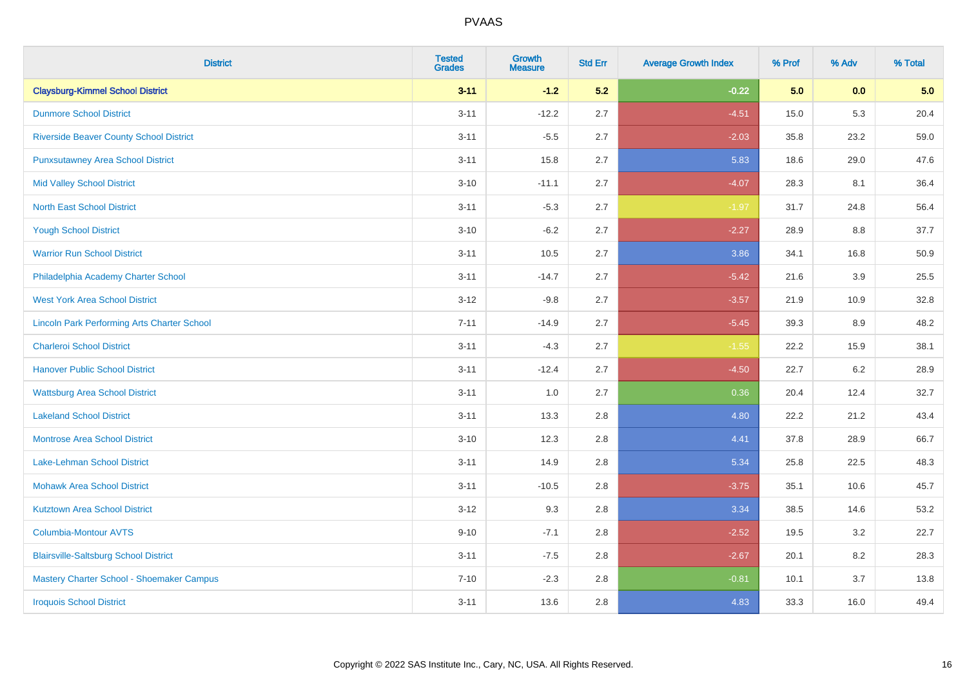| <b>District</b>                                    | <b>Tested</b><br><b>Grades</b> | <b>Growth</b><br><b>Measure</b> | <b>Std Err</b> | <b>Average Growth Index</b> | % Prof | % Adv   | % Total |
|----------------------------------------------------|--------------------------------|---------------------------------|----------------|-----------------------------|--------|---------|---------|
| <b>Claysburg-Kimmel School District</b>            | $3 - 11$                       | $-1.2$                          | 5.2            | $-0.22$                     | 5.0    | 0.0     | 5.0     |
| <b>Dunmore School District</b>                     | $3 - 11$                       | $-12.2$                         | 2.7            | $-4.51$                     | 15.0   | 5.3     | 20.4    |
| <b>Riverside Beaver County School District</b>     | $3 - 11$                       | $-5.5$                          | 2.7            | $-2.03$                     | 35.8   | 23.2    | 59.0    |
| <b>Punxsutawney Area School District</b>           | $3 - 11$                       | 15.8                            | 2.7            | 5.83                        | 18.6   | 29.0    | 47.6    |
| <b>Mid Valley School District</b>                  | $3 - 10$                       | $-11.1$                         | 2.7            | $-4.07$                     | 28.3   | 8.1     | 36.4    |
| <b>North East School District</b>                  | $3 - 11$                       | $-5.3$                          | 2.7            | $-1.97$                     | 31.7   | 24.8    | 56.4    |
| <b>Yough School District</b>                       | $3 - 10$                       | $-6.2$                          | 2.7            | $-2.27$                     | 28.9   | 8.8     | 37.7    |
| <b>Warrior Run School District</b>                 | $3 - 11$                       | 10.5                            | 2.7            | 3.86                        | 34.1   | 16.8    | 50.9    |
| Philadelphia Academy Charter School                | $3 - 11$                       | $-14.7$                         | 2.7            | $-5.42$                     | 21.6   | 3.9     | 25.5    |
| <b>West York Area School District</b>              | $3 - 12$                       | $-9.8$                          | 2.7            | $-3.57$                     | 21.9   | 10.9    | 32.8    |
| <b>Lincoln Park Performing Arts Charter School</b> | $7 - 11$                       | $-14.9$                         | 2.7            | $-5.45$                     | 39.3   | 8.9     | 48.2    |
| <b>Charleroi School District</b>                   | $3 - 11$                       | $-4.3$                          | 2.7            | $-1.55$                     | 22.2   | 15.9    | 38.1    |
| <b>Hanover Public School District</b>              | $3 - 11$                       | $-12.4$                         | 2.7            | $-4.50$                     | 22.7   | $6.2\,$ | 28.9    |
| <b>Wattsburg Area School District</b>              | $3 - 11$                       | 1.0                             | 2.7            | 0.36                        | 20.4   | 12.4    | 32.7    |
| <b>Lakeland School District</b>                    | $3 - 11$                       | 13.3                            | 2.8            | 4.80                        | 22.2   | 21.2    | 43.4    |
| <b>Montrose Area School District</b>               | $3 - 10$                       | 12.3                            | 2.8            | 4.41                        | 37.8   | 28.9    | 66.7    |
| Lake-Lehman School District                        | $3 - 11$                       | 14.9                            | 2.8            | 5.34                        | 25.8   | 22.5    | 48.3    |
| <b>Mohawk Area School District</b>                 | $3 - 11$                       | $-10.5$                         | 2.8            | $-3.75$                     | 35.1   | 10.6    | 45.7    |
| <b>Kutztown Area School District</b>               | $3 - 12$                       | 9.3                             | 2.8            | 3.34                        | 38.5   | 14.6    | 53.2    |
| <b>Columbia-Montour AVTS</b>                       | $9 - 10$                       | $-7.1$                          | 2.8            | $-2.52$                     | 19.5   | 3.2     | 22.7    |
| <b>Blairsville-Saltsburg School District</b>       | $3 - 11$                       | $-7.5$                          | 2.8            | $-2.67$                     | 20.1   | 8.2     | 28.3    |
| Mastery Charter School - Shoemaker Campus          | $7 - 10$                       | $-2.3$                          | 2.8            | $-0.81$                     | 10.1   | 3.7     | 13.8    |
| <b>Iroquois School District</b>                    | $3 - 11$                       | 13.6                            | 2.8            | 4.83                        | 33.3   | 16.0    | 49.4    |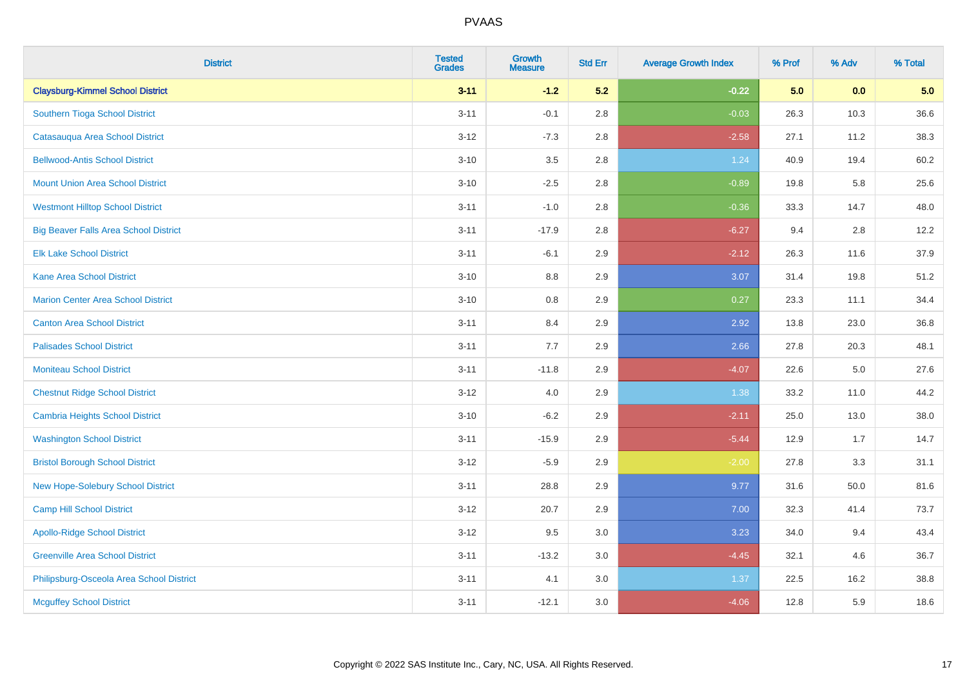| <b>District</b>                              | <b>Tested</b><br><b>Grades</b> | <b>Growth</b><br><b>Measure</b> | <b>Std Err</b> | <b>Average Growth Index</b> | % Prof | % Adv   | % Total |
|----------------------------------------------|--------------------------------|---------------------------------|----------------|-----------------------------|--------|---------|---------|
| <b>Claysburg-Kimmel School District</b>      | $3 - 11$                       | $-1.2$                          | 5.2            | $-0.22$                     | 5.0    | 0.0     | 5.0     |
| Southern Tioga School District               | $3 - 11$                       | $-0.1$                          | 2.8            | $-0.03$                     | 26.3   | 10.3    | 36.6    |
| Catasauqua Area School District              | $3 - 12$                       | $-7.3$                          | 2.8            | $-2.58$                     | 27.1   | 11.2    | 38.3    |
| <b>Bellwood-Antis School District</b>        | $3 - 10$                       | 3.5                             | 2.8            | 1.24                        | 40.9   | 19.4    | 60.2    |
| <b>Mount Union Area School District</b>      | $3 - 10$                       | $-2.5$                          | 2.8            | $-0.89$                     | 19.8   | 5.8     | 25.6    |
| <b>Westmont Hilltop School District</b>      | $3 - 11$                       | $-1.0$                          | 2.8            | $-0.36$                     | 33.3   | 14.7    | 48.0    |
| <b>Big Beaver Falls Area School District</b> | $3 - 11$                       | $-17.9$                         | 2.8            | $-6.27$                     | 9.4    | 2.8     | 12.2    |
| <b>Elk Lake School District</b>              | $3 - 11$                       | $-6.1$                          | 2.9            | $-2.12$                     | 26.3   | 11.6    | 37.9    |
| <b>Kane Area School District</b>             | $3 - 10$                       | 8.8                             | 2.9            | 3.07                        | 31.4   | 19.8    | 51.2    |
| <b>Marion Center Area School District</b>    | $3 - 10$                       | 0.8                             | 2.9            | 0.27                        | 23.3   | 11.1    | 34.4    |
| <b>Canton Area School District</b>           | $3 - 11$                       | 8.4                             | 2.9            | 2.92                        | 13.8   | 23.0    | 36.8    |
| <b>Palisades School District</b>             | $3 - 11$                       | 7.7                             | 2.9            | 2.66                        | 27.8   | 20.3    | 48.1    |
| <b>Moniteau School District</b>              | $3 - 11$                       | $-11.8$                         | 2.9            | $-4.07$                     | 22.6   | $5.0\,$ | 27.6    |
| <b>Chestnut Ridge School District</b>        | $3 - 12$                       | $4.0\,$                         | 2.9            | 1.38                        | 33.2   | 11.0    | 44.2    |
| <b>Cambria Heights School District</b>       | $3 - 10$                       | $-6.2$                          | 2.9            | $-2.11$                     | 25.0   | 13.0    | 38.0    |
| <b>Washington School District</b>            | $3 - 11$                       | $-15.9$                         | 2.9            | $-5.44$                     | 12.9   | 1.7     | 14.7    |
| <b>Bristol Borough School District</b>       | $3-12$                         | $-5.9$                          | 2.9            | $-2.00$                     | 27.8   | 3.3     | 31.1    |
| New Hope-Solebury School District            | $3 - 11$                       | 28.8                            | 2.9            | 9.77                        | 31.6   | 50.0    | 81.6    |
| Camp Hill School District                    | $3 - 12$                       | 20.7                            | 2.9            | 7.00                        | 32.3   | 41.4    | 73.7    |
| <b>Apollo-Ridge School District</b>          | $3 - 12$                       | 9.5                             | 3.0            | 3.23                        | 34.0   | 9.4     | 43.4    |
| <b>Greenville Area School District</b>       | $3 - 11$                       | $-13.2$                         | 3.0            | $-4.45$                     | 32.1   | 4.6     | 36.7    |
| Philipsburg-Osceola Area School District     | $3 - 11$                       | 4.1                             | 3.0            | 1.37                        | 22.5   | 16.2    | 38.8    |
| <b>Mcguffey School District</b>              | $3 - 11$                       | $-12.1$                         | 3.0            | $-4.06$                     | 12.8   | 5.9     | 18.6    |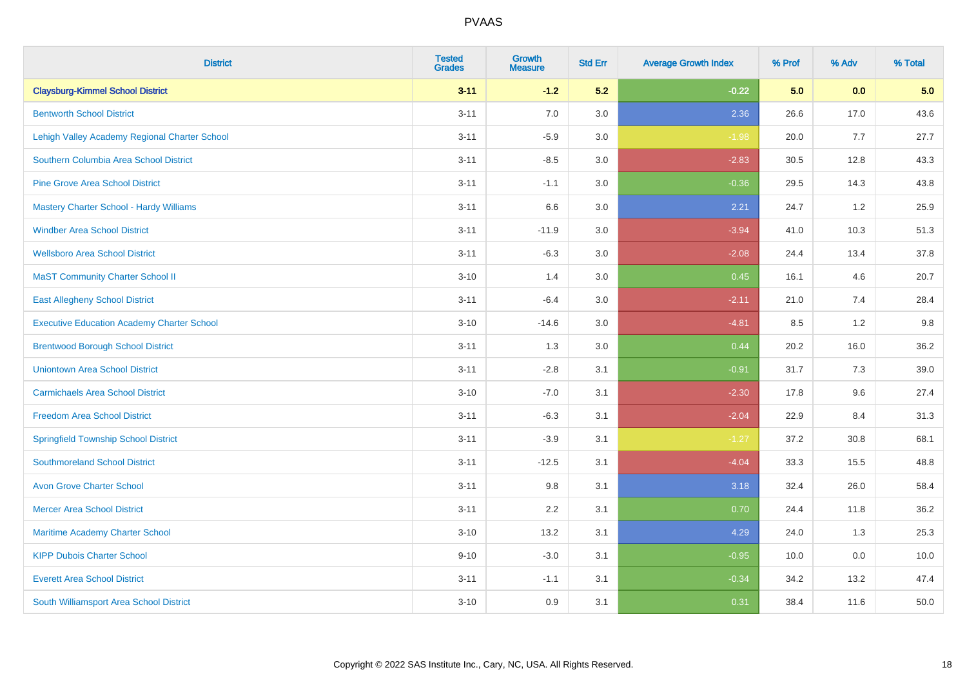| <b>District</b>                                   | <b>Tested</b><br><b>Grades</b> | <b>Growth</b><br><b>Measure</b> | <b>Std Err</b> | <b>Average Growth Index</b> | % Prof | % Adv | % Total |
|---------------------------------------------------|--------------------------------|---------------------------------|----------------|-----------------------------|--------|-------|---------|
| <b>Claysburg-Kimmel School District</b>           | $3 - 11$                       | $-1.2$                          | 5.2            | $-0.22$                     | 5.0    | 0.0   | 5.0     |
| <b>Bentworth School District</b>                  | $3 - 11$                       | 7.0                             | 3.0            | 2.36                        | 26.6   | 17.0  | 43.6    |
| Lehigh Valley Academy Regional Charter School     | $3 - 11$                       | $-5.9$                          | 3.0            | $-1.98$                     | 20.0   | 7.7   | 27.7    |
| Southern Columbia Area School District            | $3 - 11$                       | $-8.5$                          | 3.0            | $-2.83$                     | 30.5   | 12.8  | 43.3    |
| <b>Pine Grove Area School District</b>            | $3 - 11$                       | $-1.1$                          | 3.0            | $-0.36$                     | 29.5   | 14.3  | 43.8    |
| <b>Mastery Charter School - Hardy Williams</b>    | $3 - 11$                       | 6.6                             | 3.0            | 2.21                        | 24.7   | 1.2   | 25.9    |
| <b>Windber Area School District</b>               | $3 - 11$                       | $-11.9$                         | 3.0            | $-3.94$                     | 41.0   | 10.3  | 51.3    |
| <b>Wellsboro Area School District</b>             | $3 - 11$                       | $-6.3$                          | 3.0            | $-2.08$                     | 24.4   | 13.4  | 37.8    |
| <b>MaST Community Charter School II</b>           | $3 - 10$                       | 1.4                             | 3.0            | 0.45                        | 16.1   | 4.6   | 20.7    |
| <b>East Allegheny School District</b>             | $3 - 11$                       | $-6.4$                          | 3.0            | $-2.11$                     | 21.0   | 7.4   | 28.4    |
| <b>Executive Education Academy Charter School</b> | $3 - 10$                       | $-14.6$                         | 3.0            | $-4.81$                     | 8.5    | 1.2   | 9.8     |
| <b>Brentwood Borough School District</b>          | $3 - 11$                       | 1.3                             | 3.0            | 0.44                        | 20.2   | 16.0  | 36.2    |
| <b>Uniontown Area School District</b>             | $3 - 11$                       | $-2.8$                          | 3.1            | $-0.91$                     | 31.7   | 7.3   | 39.0    |
| <b>Carmichaels Area School District</b>           | $3 - 10$                       | $-7.0$                          | 3.1            | $-2.30$                     | 17.8   | 9.6   | 27.4    |
| <b>Freedom Area School District</b>               | $3 - 11$                       | $-6.3$                          | 3.1            | $-2.04$                     | 22.9   | 8.4   | 31.3    |
| <b>Springfield Township School District</b>       | $3 - 11$                       | $-3.9$                          | 3.1            | $-1.27$                     | 37.2   | 30.8  | 68.1    |
| <b>Southmoreland School District</b>              | $3 - 11$                       | $-12.5$                         | 3.1            | $-4.04$                     | 33.3   | 15.5  | 48.8    |
| <b>Avon Grove Charter School</b>                  | $3 - 11$                       | 9.8                             | 3.1            | 3.18                        | 32.4   | 26.0  | 58.4    |
| <b>Mercer Area School District</b>                | $3 - 11$                       | 2.2                             | 3.1            | 0.70                        | 24.4   | 11.8  | 36.2    |
| Maritime Academy Charter School                   | $3 - 10$                       | 13.2                            | 3.1            | 4.29                        | 24.0   | 1.3   | 25.3    |
| <b>KIPP Dubois Charter School</b>                 | $9 - 10$                       | $-3.0$                          | 3.1            | $-0.95$                     | 10.0   | 0.0   | 10.0    |
| <b>Everett Area School District</b>               | $3 - 11$                       | $-1.1$                          | 3.1            | $-0.34$                     | 34.2   | 13.2  | 47.4    |
| South Williamsport Area School District           | $3 - 10$                       | 0.9                             | 3.1            | 0.31                        | 38.4   | 11.6  | 50.0    |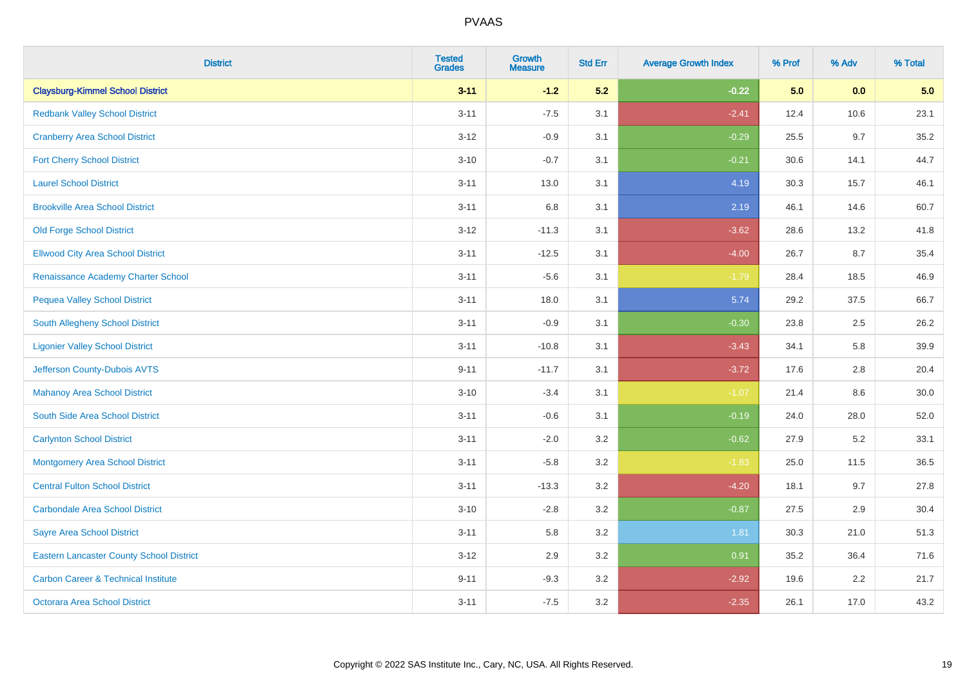| <b>District</b>                                 | <b>Tested</b><br><b>Grades</b> | <b>Growth</b><br><b>Measure</b> | <b>Std Err</b> | <b>Average Growth Index</b> | % Prof | % Adv   | % Total |
|-------------------------------------------------|--------------------------------|---------------------------------|----------------|-----------------------------|--------|---------|---------|
| <b>Claysburg-Kimmel School District</b>         | $3 - 11$                       | $-1.2$                          | 5.2            | $-0.22$                     | 5.0    | 0.0     | 5.0     |
| <b>Redbank Valley School District</b>           | $3 - 11$                       | $-7.5$                          | 3.1            | $-2.41$                     | 12.4   | 10.6    | 23.1    |
| <b>Cranberry Area School District</b>           | $3 - 12$                       | $-0.9$                          | 3.1            | $-0.29$                     | 25.5   | 9.7     | 35.2    |
| <b>Fort Cherry School District</b>              | $3 - 10$                       | $-0.7$                          | 3.1            | $-0.21$                     | 30.6   | 14.1    | 44.7    |
| <b>Laurel School District</b>                   | $3 - 11$                       | 13.0                            | 3.1            | 4.19                        | 30.3   | 15.7    | 46.1    |
| <b>Brookville Area School District</b>          | $3 - 11$                       | 6.8                             | 3.1            | 2.19                        | 46.1   | 14.6    | 60.7    |
| Old Forge School District                       | $3 - 12$                       | $-11.3$                         | 3.1            | $-3.62$                     | 28.6   | 13.2    | 41.8    |
| <b>Ellwood City Area School District</b>        | $3 - 11$                       | $-12.5$                         | 3.1            | $-4.00$                     | 26.7   | 8.7     | 35.4    |
| Renaissance Academy Charter School              | $3 - 11$                       | $-5.6$                          | 3.1            | $-1.79$                     | 28.4   | 18.5    | 46.9    |
| <b>Pequea Valley School District</b>            | $3 - 11$                       | 18.0                            | 3.1            | 5.74                        | 29.2   | 37.5    | 66.7    |
| <b>South Allegheny School District</b>          | $3 - 11$                       | $-0.9$                          | 3.1            | $-0.30$                     | 23.8   | 2.5     | 26.2    |
| <b>Ligonier Valley School District</b>          | $3 - 11$                       | $-10.8$                         | 3.1            | $-3.43$                     | 34.1   | 5.8     | 39.9    |
| Jefferson County-Dubois AVTS                    | $9 - 11$                       | $-11.7$                         | 3.1            | $-3.72$                     | 17.6   | $2.8\,$ | 20.4    |
| <b>Mahanoy Area School District</b>             | $3 - 10$                       | $-3.4$                          | 3.1            | $-1.07$                     | 21.4   | 8.6     | 30.0    |
| South Side Area School District                 | $3 - 11$                       | $-0.6$                          | 3.1            | $-0.19$                     | 24.0   | 28.0    | 52.0    |
| <b>Carlynton School District</b>                | $3 - 11$                       | $-2.0$                          | 3.2            | $-0.62$                     | 27.9   | 5.2     | 33.1    |
| <b>Montgomery Area School District</b>          | $3 - 11$                       | $-5.8$                          | 3.2            | $-1.83$                     | 25.0   | 11.5    | 36.5    |
| <b>Central Fulton School District</b>           | $3 - 11$                       | $-13.3$                         | 3.2            | $-4.20$                     | 18.1   | 9.7     | 27.8    |
| <b>Carbondale Area School District</b>          | $3 - 10$                       | $-2.8$                          | 3.2            | $-0.87$                     | 27.5   | 2.9     | 30.4    |
| <b>Sayre Area School District</b>               | $3 - 11$                       | 5.8                             | 3.2            | 1.81                        | 30.3   | 21.0    | 51.3    |
| <b>Eastern Lancaster County School District</b> | $3 - 12$                       | 2.9                             | 3.2            | 0.91                        | 35.2   | 36.4    | 71.6    |
| <b>Carbon Career &amp; Technical Institute</b>  | $9 - 11$                       | $-9.3$                          | 3.2            | $-2.92$                     | 19.6   | 2.2     | 21.7    |
| <b>Octorara Area School District</b>            | $3 - 11$                       | $-7.5$                          | 3.2            | $-2.35$                     | 26.1   | 17.0    | 43.2    |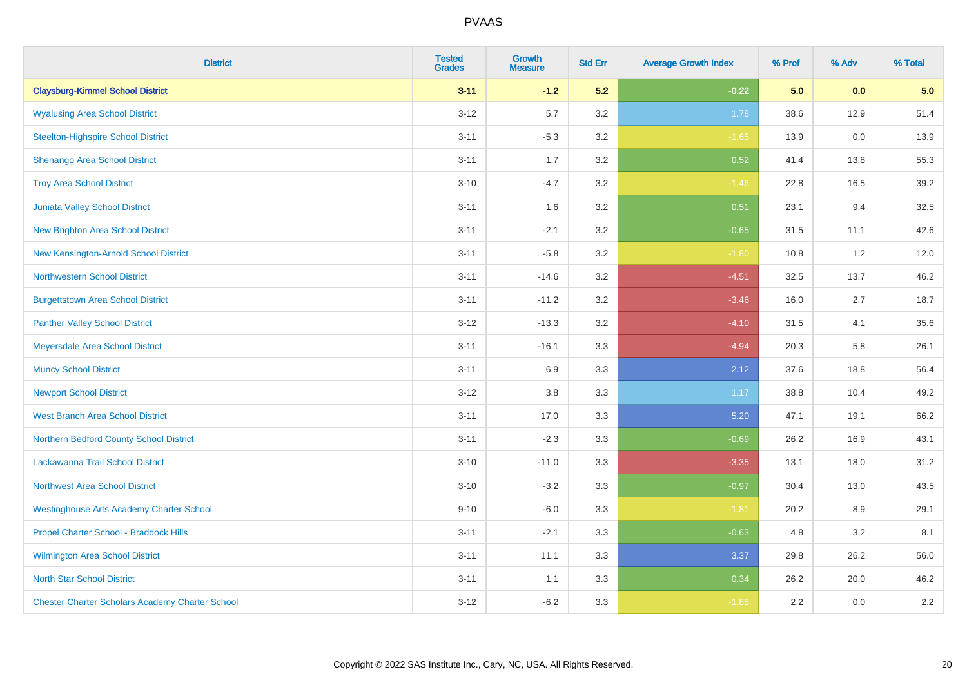| <b>District</b>                                        | <b>Tested</b><br><b>Grades</b> | <b>Growth</b><br><b>Measure</b> | <b>Std Err</b> | <b>Average Growth Index</b> | % Prof | % Adv | % Total |
|--------------------------------------------------------|--------------------------------|---------------------------------|----------------|-----------------------------|--------|-------|---------|
| <b>Claysburg-Kimmel School District</b>                | $3 - 11$                       | $-1.2$                          | 5.2            | $-0.22$                     | 5.0    | 0.0   | 5.0     |
| <b>Wyalusing Area School District</b>                  | $3 - 12$                       | 5.7                             | 3.2            | 1.78                        | 38.6   | 12.9  | 51.4    |
| <b>Steelton-Highspire School District</b>              | $3 - 11$                       | $-5.3$                          | 3.2            | $-1.65$                     | 13.9   | 0.0   | 13.9    |
| Shenango Area School District                          | $3 - 11$                       | 1.7                             | 3.2            | 0.52                        | 41.4   | 13.8  | 55.3    |
| <b>Troy Area School District</b>                       | $3 - 10$                       | $-4.7$                          | 3.2            | $-1.46$                     | 22.8   | 16.5  | 39.2    |
| Juniata Valley School District                         | $3 - 11$                       | 1.6                             | 3.2            | 0.51                        | 23.1   | 9.4   | 32.5    |
| <b>New Brighton Area School District</b>               | $3 - 11$                       | $-2.1$                          | 3.2            | $-0.65$                     | 31.5   | 11.1  | 42.6    |
| New Kensington-Arnold School District                  | $3 - 11$                       | $-5.8$                          | 3.2            | $-1.80$                     | 10.8   | 1.2   | 12.0    |
| <b>Northwestern School District</b>                    | $3 - 11$                       | $-14.6$                         | 3.2            | $-4.51$                     | 32.5   | 13.7  | 46.2    |
| <b>Burgettstown Area School District</b>               | $3 - 11$                       | $-11.2$                         | 3.2            | $-3.46$                     | 16.0   | 2.7   | 18.7    |
| <b>Panther Valley School District</b>                  | $3 - 12$                       | $-13.3$                         | 3.2            | $-4.10$                     | 31.5   | 4.1   | 35.6    |
| Meyersdale Area School District                        | $3 - 11$                       | $-16.1$                         | 3.3            | $-4.94$                     | 20.3   | 5.8   | 26.1    |
| <b>Muncy School District</b>                           | $3 - 11$                       | 6.9                             | 3.3            | 2.12                        | 37.6   | 18.8  | 56.4    |
| <b>Newport School District</b>                         | $3 - 12$                       | $3.8\,$                         | 3.3            | 1.17                        | 38.8   | 10.4  | 49.2    |
| <b>West Branch Area School District</b>                | $3 - 11$                       | 17.0                            | 3.3            | 5.20                        | 47.1   | 19.1  | 66.2    |
| Northern Bedford County School District                | $3 - 11$                       | $-2.3$                          | 3.3            | $-0.69$                     | 26.2   | 16.9  | 43.1    |
| Lackawanna Trail School District                       | $3 - 10$                       | $-11.0$                         | 3.3            | $-3.35$                     | 13.1   | 18.0  | 31.2    |
| <b>Northwest Area School District</b>                  | $3 - 10$                       | $-3.2$                          | 3.3            | $-0.97$                     | 30.4   | 13.0  | 43.5    |
| <b>Westinghouse Arts Academy Charter School</b>        | $9 - 10$                       | $-6.0$                          | 3.3            | $-1.81$                     | 20.2   | 8.9   | 29.1    |
| Propel Charter School - Braddock Hills                 | $3 - 11$                       | $-2.1$                          | 3.3            | $-0.63$                     | 4.8    | 3.2   | 8.1     |
| <b>Wilmington Area School District</b>                 | $3 - 11$                       | 11.1                            | 3.3            | 3.37                        | 29.8   | 26.2  | 56.0    |
| <b>North Star School District</b>                      | $3 - 11$                       | 1.1                             | 3.3            | 0.34                        | 26.2   | 20.0  | 46.2    |
| <b>Chester Charter Scholars Academy Charter School</b> | $3 - 12$                       | $-6.2$                          | 3.3            | $-1.88$                     | 2.2    | 0.0   | 2.2     |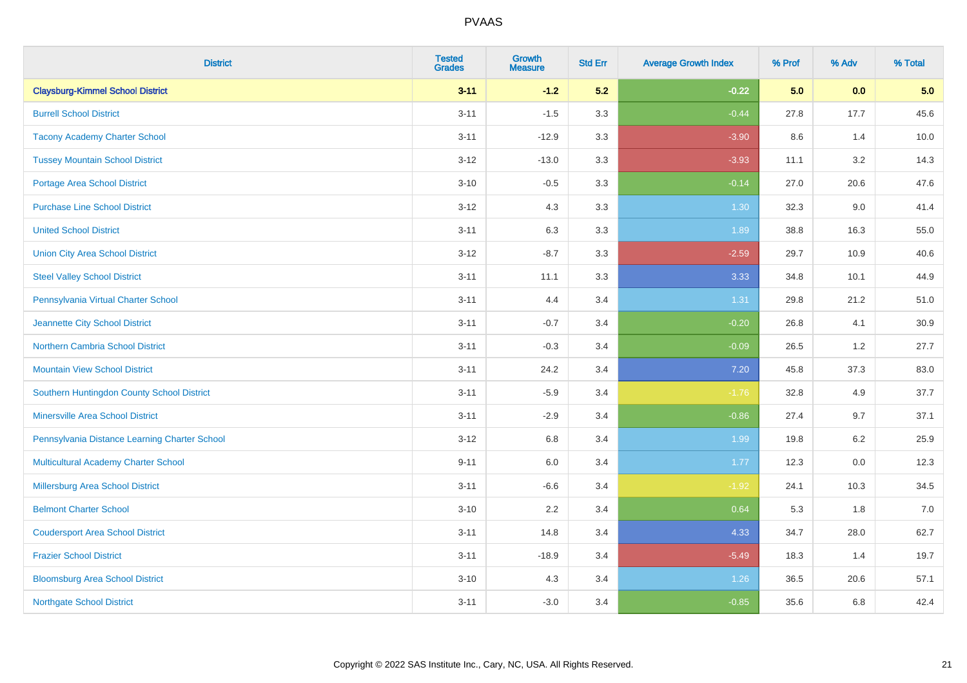| <b>District</b>                               | <b>Tested</b><br><b>Grades</b> | <b>Growth</b><br><b>Measure</b> | <b>Std Err</b> | <b>Average Growth Index</b> | % Prof | % Adv   | % Total |
|-----------------------------------------------|--------------------------------|---------------------------------|----------------|-----------------------------|--------|---------|---------|
| <b>Claysburg-Kimmel School District</b>       | $3 - 11$                       | $-1.2$                          | 5.2            | $-0.22$                     | 5.0    | 0.0     | 5.0     |
| <b>Burrell School District</b>                | $3 - 11$                       | $-1.5$                          | 3.3            | $-0.44$                     | 27.8   | 17.7    | 45.6    |
| <b>Tacony Academy Charter School</b>          | $3 - 11$                       | $-12.9$                         | 3.3            | $-3.90$                     | 8.6    | 1.4     | 10.0    |
| <b>Tussey Mountain School District</b>        | $3 - 12$                       | $-13.0$                         | 3.3            | $-3.93$                     | 11.1   | 3.2     | 14.3    |
| Portage Area School District                  | $3 - 10$                       | $-0.5$                          | 3.3            | $-0.14$                     | 27.0   | 20.6    | 47.6    |
| <b>Purchase Line School District</b>          | $3-12$                         | 4.3                             | 3.3            | 1.30                        | 32.3   | 9.0     | 41.4    |
| <b>United School District</b>                 | $3 - 11$                       | 6.3                             | 3.3            | 1.89                        | 38.8   | 16.3    | 55.0    |
| <b>Union City Area School District</b>        | $3 - 12$                       | $-8.7$                          | 3.3            | $-2.59$                     | 29.7   | 10.9    | 40.6    |
| <b>Steel Valley School District</b>           | $3 - 11$                       | 11.1                            | 3.3            | 3.33                        | 34.8   | 10.1    | 44.9    |
| Pennsylvania Virtual Charter School           | $3 - 11$                       | 4.4                             | 3.4            | 1.31                        | 29.8   | 21.2    | 51.0    |
| Jeannette City School District                | $3 - 11$                       | $-0.7$                          | 3.4            | $-0.20$                     | 26.8   | 4.1     | 30.9    |
| Northern Cambria School District              | $3 - 11$                       | $-0.3$                          | 3.4            | $-0.09$                     | 26.5   | 1.2     | 27.7    |
| <b>Mountain View School District</b>          | $3 - 11$                       | 24.2                            | 3.4            | $7.20$                      | 45.8   | 37.3    | 83.0    |
| Southern Huntingdon County School District    | $3 - 11$                       | $-5.9$                          | 3.4            | $-1.76$                     | 32.8   | 4.9     | 37.7    |
| <b>Minersville Area School District</b>       | $3 - 11$                       | $-2.9$                          | 3.4            | $-0.86$                     | 27.4   | 9.7     | 37.1    |
| Pennsylvania Distance Learning Charter School | $3 - 12$                       | 6.8                             | 3.4            | 1.99                        | 19.8   | 6.2     | 25.9    |
| <b>Multicultural Academy Charter School</b>   | $9 - 11$                       | 6.0                             | 3.4            | 1.77                        | 12.3   | $0.0\,$ | 12.3    |
| Millersburg Area School District              | $3 - 11$                       | $-6.6$                          | 3.4            | $-1.92$                     | 24.1   | 10.3    | 34.5    |
| <b>Belmont Charter School</b>                 | $3 - 10$                       | 2.2                             | 3.4            | 0.64                        | 5.3    | 1.8     | 7.0     |
| <b>Coudersport Area School District</b>       | $3 - 11$                       | 14.8                            | 3.4            | 4.33                        | 34.7   | 28.0    | 62.7    |
| <b>Frazier School District</b>                | $3 - 11$                       | $-18.9$                         | 3.4            | $-5.49$                     | 18.3   | 1.4     | 19.7    |
| <b>Bloomsburg Area School District</b>        | $3 - 10$                       | 4.3                             | 3.4            | 1.26                        | 36.5   | 20.6    | 57.1    |
| <b>Northgate School District</b>              | $3 - 11$                       | $-3.0$                          | 3.4            | $-0.85$                     | 35.6   | 6.8     | 42.4    |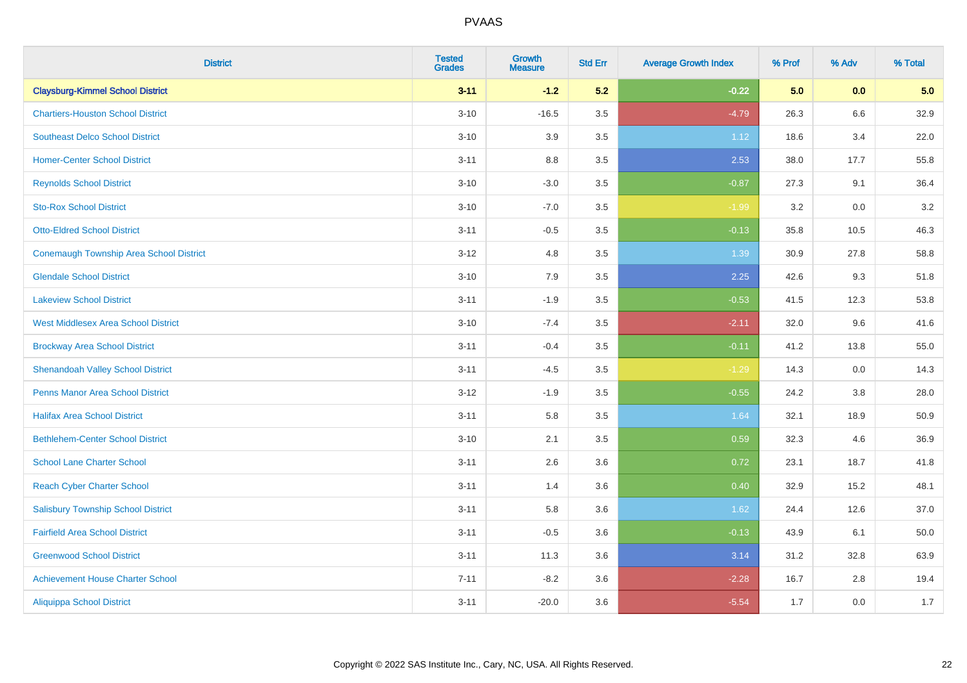| <b>District</b>                            | <b>Tested</b><br><b>Grades</b> | <b>Growth</b><br><b>Measure</b> | <b>Std Err</b> | <b>Average Growth Index</b> | % Prof | % Adv   | % Total |
|--------------------------------------------|--------------------------------|---------------------------------|----------------|-----------------------------|--------|---------|---------|
| <b>Claysburg-Kimmel School District</b>    | $3 - 11$                       | $-1.2$                          | 5.2            | $-0.22$                     | 5.0    | 0.0     | 5.0     |
| <b>Chartiers-Houston School District</b>   | $3 - 10$                       | $-16.5$                         | 3.5            | $-4.79$                     | 26.3   | 6.6     | 32.9    |
| <b>Southeast Delco School District</b>     | $3 - 10$                       | 3.9                             | 3.5            | 1.12                        | 18.6   | 3.4     | 22.0    |
| <b>Homer-Center School District</b>        | $3 - 11$                       | $8.8\,$                         | 3.5            | 2.53                        | 38.0   | 17.7    | 55.8    |
| <b>Reynolds School District</b>            | $3 - 10$                       | $-3.0$                          | 3.5            | $-0.87$                     | 27.3   | 9.1     | 36.4    |
| <b>Sto-Rox School District</b>             | $3 - 10$                       | $-7.0$                          | 3.5            | $-1.99$                     | 3.2    | 0.0     | 3.2     |
| <b>Otto-Eldred School District</b>         | $3 - 11$                       | $-0.5$                          | 3.5            | $-0.13$                     | 35.8   | 10.5    | 46.3    |
| Conemaugh Township Area School District    | $3 - 12$                       | 4.8                             | 3.5            | 1.39                        | 30.9   | 27.8    | 58.8    |
| <b>Glendale School District</b>            | $3 - 10$                       | 7.9                             | 3.5            | 2.25                        | 42.6   | 9.3     | 51.8    |
| <b>Lakeview School District</b>            | $3 - 11$                       | $-1.9$                          | 3.5            | $-0.53$                     | 41.5   | 12.3    | 53.8    |
| <b>West Middlesex Area School District</b> | $3 - 10$                       | $-7.4$                          | 3.5            | $-2.11$                     | 32.0   | 9.6     | 41.6    |
| <b>Brockway Area School District</b>       | $3 - 11$                       | $-0.4$                          | 3.5            | $-0.11$                     | 41.2   | 13.8    | 55.0    |
| <b>Shenandoah Valley School District</b>   | $3 - 11$                       | $-4.5$                          | 3.5            | $-1.29$                     | 14.3   | 0.0     | 14.3    |
| <b>Penns Manor Area School District</b>    | $3 - 12$                       | $-1.9$                          | 3.5            | $-0.55$                     | 24.2   | $3.8\,$ | 28.0    |
| <b>Halifax Area School District</b>        | $3 - 11$                       | 5.8                             | 3.5            | 1.64                        | 32.1   | 18.9    | 50.9    |
| <b>Bethlehem-Center School District</b>    | $3 - 10$                       | 2.1                             | 3.5            | 0.59                        | 32.3   | 4.6     | 36.9    |
| <b>School Lane Charter School</b>          | $3 - 11$                       | 2.6                             | 3.6            | 0.72                        | 23.1   | 18.7    | 41.8    |
| <b>Reach Cyber Charter School</b>          | $3 - 11$                       | 1.4                             | 3.6            | 0.40                        | 32.9   | 15.2    | 48.1    |
| <b>Salisbury Township School District</b>  | $3 - 11$                       | 5.8                             | 3.6            | 1.62                        | 24.4   | 12.6    | 37.0    |
| <b>Fairfield Area School District</b>      | $3 - 11$                       | $-0.5$                          | 3.6            | $-0.13$                     | 43.9   | 6.1     | 50.0    |
| <b>Greenwood School District</b>           | $3 - 11$                       | 11.3                            | 3.6            | 3.14                        | 31.2   | 32.8    | 63.9    |
| <b>Achievement House Charter School</b>    | $7 - 11$                       | $-8.2$                          | 3.6            | $-2.28$                     | 16.7   | 2.8     | 19.4    |
| <b>Aliquippa School District</b>           | $3 - 11$                       | $-20.0$                         | 3.6            | $-5.54$                     | 1.7    | 0.0     | 1.7     |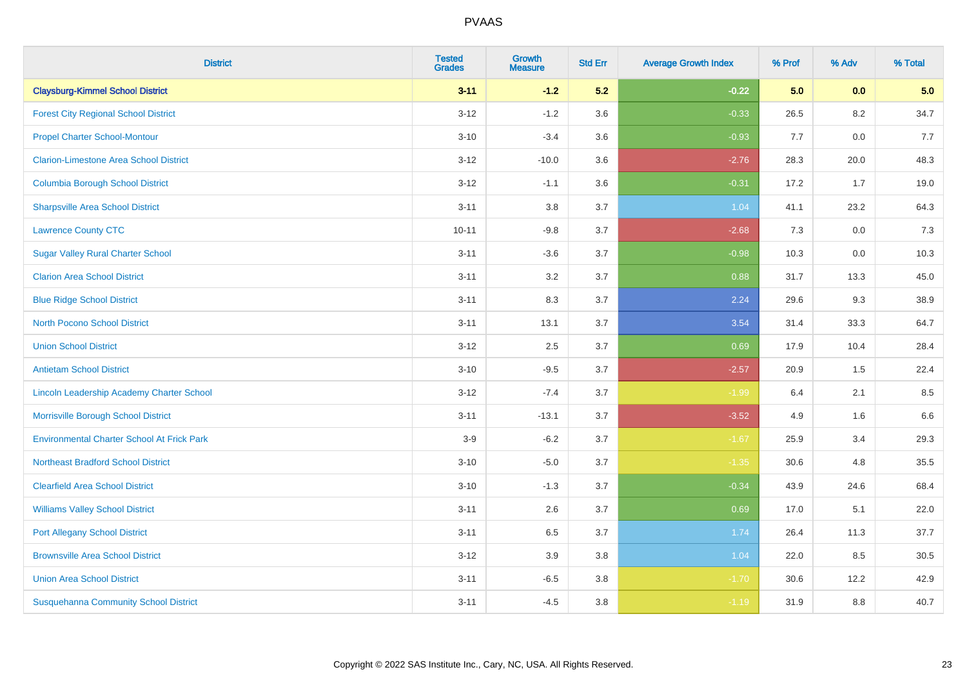| <b>District</b>                                   | <b>Tested</b><br><b>Grades</b> | <b>Growth</b><br><b>Measure</b> | <b>Std Err</b> | <b>Average Growth Index</b> | % Prof | % Adv | % Total |
|---------------------------------------------------|--------------------------------|---------------------------------|----------------|-----------------------------|--------|-------|---------|
| <b>Claysburg-Kimmel School District</b>           | $3 - 11$                       | $-1.2$                          | 5.2            | $-0.22$                     | 5.0    | 0.0   | 5.0     |
| <b>Forest City Regional School District</b>       | $3 - 12$                       | $-1.2$                          | 3.6            | $-0.33$                     | 26.5   | 8.2   | 34.7    |
| <b>Propel Charter School-Montour</b>              | $3 - 10$                       | $-3.4$                          | 3.6            | $-0.93$                     | 7.7    | 0.0   | 7.7     |
| <b>Clarion-Limestone Area School District</b>     | $3 - 12$                       | $-10.0$                         | 3.6            | $-2.76$                     | 28.3   | 20.0  | 48.3    |
| <b>Columbia Borough School District</b>           | $3 - 12$                       | $-1.1$                          | 3.6            | $-0.31$                     | 17.2   | 1.7   | 19.0    |
| <b>Sharpsville Area School District</b>           | $3 - 11$                       | 3.8                             | 3.7            | 1.04                        | 41.1   | 23.2  | 64.3    |
| <b>Lawrence County CTC</b>                        | $10 - 11$                      | $-9.8$                          | 3.7            | $-2.68$                     | 7.3    | 0.0   | 7.3     |
| <b>Sugar Valley Rural Charter School</b>          | $3 - 11$                       | $-3.6$                          | 3.7            | $-0.98$                     | 10.3   | 0.0   | 10.3    |
| <b>Clarion Area School District</b>               | $3 - 11$                       | 3.2                             | 3.7            | 0.88                        | 31.7   | 13.3  | 45.0    |
| <b>Blue Ridge School District</b>                 | $3 - 11$                       | 8.3                             | 3.7            | 2.24                        | 29.6   | 9.3   | 38.9    |
| <b>North Pocono School District</b>               | $3 - 11$                       | 13.1                            | 3.7            | 3.54                        | 31.4   | 33.3  | 64.7    |
| <b>Union School District</b>                      | $3 - 12$                       | 2.5                             | 3.7            | 0.69                        | 17.9   | 10.4  | 28.4    |
| <b>Antietam School District</b>                   | $3 - 10$                       | $-9.5$                          | 3.7            | $-2.57$                     | 20.9   | 1.5   | 22.4    |
| Lincoln Leadership Academy Charter School         | $3 - 12$                       | $-7.4$                          | 3.7            | $-1.99$                     | 6.4    | 2.1   | 8.5     |
| Morrisville Borough School District               | $3 - 11$                       | $-13.1$                         | 3.7            | $-3.52$                     | 4.9    | 1.6   | 6.6     |
| <b>Environmental Charter School At Frick Park</b> | $3-9$                          | $-6.2$                          | 3.7            | $-1.67$                     | 25.9   | 3.4   | 29.3    |
| <b>Northeast Bradford School District</b>         | $3 - 10$                       | $-5.0$                          | 3.7            | $-1.35$                     | 30.6   | 4.8   | 35.5    |
| <b>Clearfield Area School District</b>            | $3 - 10$                       | $-1.3$                          | 3.7            | $-0.34$                     | 43.9   | 24.6  | 68.4    |
| <b>Williams Valley School District</b>            | $3 - 11$                       | 2.6                             | 3.7            | 0.69                        | 17.0   | 5.1   | 22.0    |
| <b>Port Allegany School District</b>              | $3 - 11$                       | 6.5                             | 3.7            | 1.74                        | 26.4   | 11.3  | 37.7    |
| <b>Brownsville Area School District</b>           | $3 - 12$                       | 3.9                             | 3.8            | 1.04                        | 22.0   | 8.5   | 30.5    |
| <b>Union Area School District</b>                 | $3 - 11$                       | $-6.5$                          | 3.8            | $-1.70$                     | 30.6   | 12.2  | 42.9    |
| <b>Susquehanna Community School District</b>      | $3 - 11$                       | $-4.5$                          | 3.8            | $-1.19$                     | 31.9   | 8.8   | 40.7    |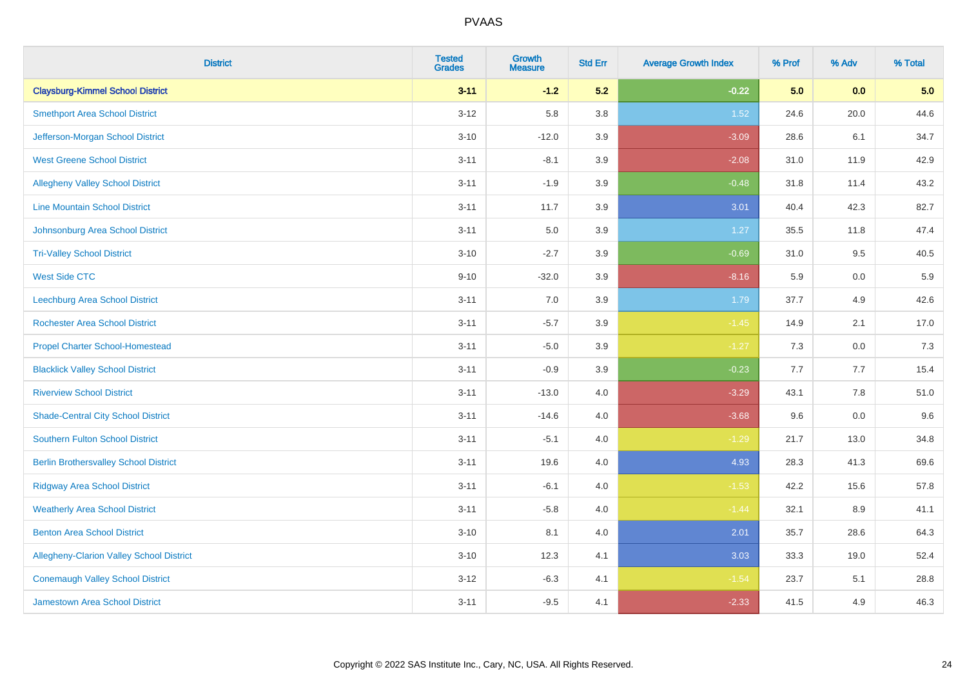| <b>District</b>                                 | <b>Tested</b><br><b>Grades</b> | <b>Growth</b><br><b>Measure</b> | <b>Std Err</b> | <b>Average Growth Index</b> | % Prof | % Adv   | % Total |
|-------------------------------------------------|--------------------------------|---------------------------------|----------------|-----------------------------|--------|---------|---------|
| <b>Claysburg-Kimmel School District</b>         | $3 - 11$                       | $-1.2$                          | 5.2            | $-0.22$                     | 5.0    | 0.0     | 5.0     |
| <b>Smethport Area School District</b>           | $3 - 12$                       | 5.8                             | 3.8            | 1.52                        | 24.6   | 20.0    | 44.6    |
| Jefferson-Morgan School District                | $3 - 10$                       | $-12.0$                         | 3.9            | $-3.09$                     | 28.6   | 6.1     | 34.7    |
| <b>West Greene School District</b>              | $3 - 11$                       | $-8.1$                          | 3.9            | $-2.08$                     | 31.0   | 11.9    | 42.9    |
| <b>Allegheny Valley School District</b>         | $3 - 11$                       | $-1.9$                          | 3.9            | $-0.48$                     | 31.8   | 11.4    | 43.2    |
| <b>Line Mountain School District</b>            | $3 - 11$                       | 11.7                            | 3.9            | 3.01                        | 40.4   | 42.3    | 82.7    |
| Johnsonburg Area School District                | $3 - 11$                       | 5.0                             | 3.9            | 1.27                        | 35.5   | 11.8    | 47.4    |
| <b>Tri-Valley School District</b>               | $3 - 10$                       | $-2.7$                          | 3.9            | $-0.69$                     | 31.0   | 9.5     | 40.5    |
| <b>West Side CTC</b>                            | $9 - 10$                       | $-32.0$                         | 3.9            | $-8.16$                     | 5.9    | 0.0     | 5.9     |
| Leechburg Area School District                  | $3 - 11$                       | 7.0                             | 3.9            | 1.79                        | 37.7   | 4.9     | 42.6    |
| <b>Rochester Area School District</b>           | $3 - 11$                       | $-5.7$                          | 3.9            | $-1.45$                     | 14.9   | 2.1     | 17.0    |
| <b>Propel Charter School-Homestead</b>          | $3 - 11$                       | $-5.0$                          | 3.9            | $-1.27$                     | 7.3    | 0.0     | 7.3     |
| <b>Blacklick Valley School District</b>         | $3 - 11$                       | $-0.9$                          | 3.9            | $-0.23$                     | 7.7    | 7.7     | 15.4    |
| <b>Riverview School District</b>                | $3 - 11$                       | $-13.0$                         | 4.0            | $-3.29$                     | 43.1   | $7.8\,$ | 51.0    |
| <b>Shade-Central City School District</b>       | $3 - 11$                       | $-14.6$                         | 4.0            | $-3.68$                     | 9.6    | 0.0     | 9.6     |
| <b>Southern Fulton School District</b>          | $3 - 11$                       | $-5.1$                          | 4.0            | $-1.29$                     | 21.7   | 13.0    | 34.8    |
| <b>Berlin Brothersvalley School District</b>    | $3 - 11$                       | 19.6                            | 4.0            | 4.93                        | 28.3   | 41.3    | 69.6    |
| <b>Ridgway Area School District</b>             | $3 - 11$                       | $-6.1$                          | 4.0            | $-1.53$                     | 42.2   | 15.6    | 57.8    |
| <b>Weatherly Area School District</b>           | $3 - 11$                       | $-5.8$                          | 4.0            | $-1.44$                     | 32.1   | 8.9     | 41.1    |
| <b>Benton Area School District</b>              | $3 - 10$                       | 8.1                             | 4.0            | 2.01                        | 35.7   | 28.6    | 64.3    |
| <b>Allegheny-Clarion Valley School District</b> | $3 - 10$                       | 12.3                            | 4.1            | 3.03                        | 33.3   | 19.0    | 52.4    |
| <b>Conemaugh Valley School District</b>         | $3 - 12$                       | $-6.3$                          | 4.1            | $-1.54$                     | 23.7   | 5.1     | 28.8    |
| Jamestown Area School District                  | $3 - 11$                       | $-9.5$                          | 4.1            | $-2.33$                     | 41.5   | 4.9     | 46.3    |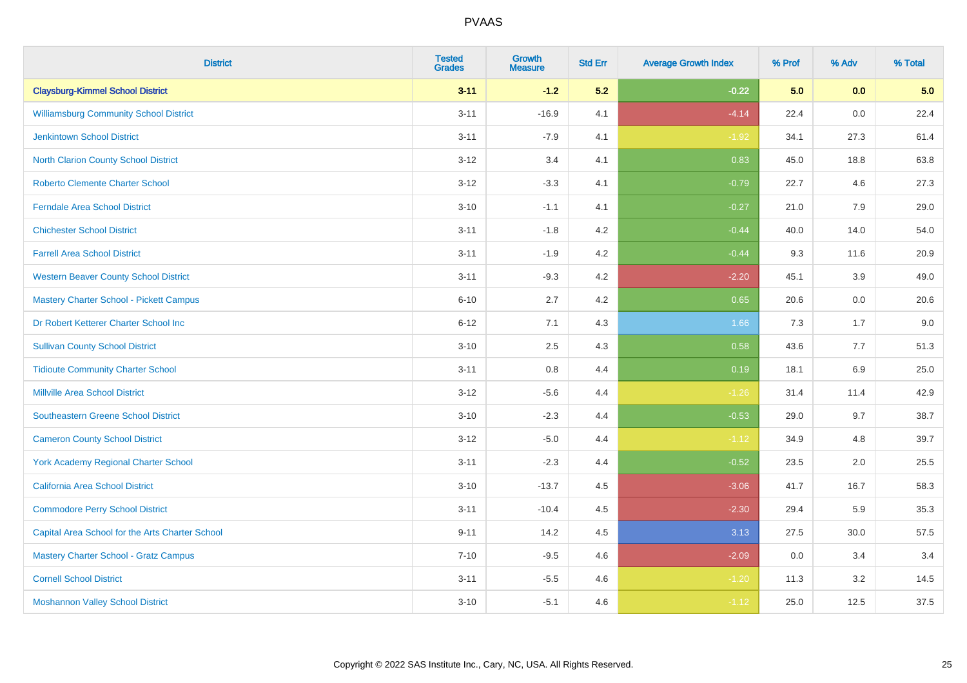| <b>District</b>                                 | <b>Tested</b><br><b>Grades</b> | <b>Growth</b><br><b>Measure</b> | <b>Std Err</b> | <b>Average Growth Index</b> | % Prof | % Adv   | % Total |
|-------------------------------------------------|--------------------------------|---------------------------------|----------------|-----------------------------|--------|---------|---------|
| <b>Claysburg-Kimmel School District</b>         | $3 - 11$                       | $-1.2$                          | 5.2            | $-0.22$                     | 5.0    | 0.0     | 5.0     |
| <b>Williamsburg Community School District</b>   | $3 - 11$                       | $-16.9$                         | 4.1            | $-4.14$                     | 22.4   | 0.0     | 22.4    |
| <b>Jenkintown School District</b>               | $3 - 11$                       | $-7.9$                          | 4.1            | $-1.92$                     | 34.1   | 27.3    | 61.4    |
| North Clarion County School District            | $3 - 12$                       | 3.4                             | 4.1            | 0.83                        | 45.0   | 18.8    | 63.8    |
| <b>Roberto Clemente Charter School</b>          | $3 - 12$                       | $-3.3$                          | 4.1            | $-0.79$                     | 22.7   | 4.6     | 27.3    |
| <b>Ferndale Area School District</b>            | $3 - 10$                       | $-1.1$                          | 4.1            | $-0.27$                     | 21.0   | 7.9     | 29.0    |
| <b>Chichester School District</b>               | $3 - 11$                       | $-1.8$                          | 4.2            | $-0.44$                     | 40.0   | 14.0    | 54.0    |
| <b>Farrell Area School District</b>             | $3 - 11$                       | $-1.9$                          | 4.2            | $-0.44$                     | 9.3    | 11.6    | 20.9    |
| <b>Western Beaver County School District</b>    | $3 - 11$                       | $-9.3$                          | 4.2            | $-2.20$                     | 45.1   | 3.9     | 49.0    |
| Mastery Charter School - Pickett Campus         | $6 - 10$                       | 2.7                             | 4.2            | 0.65                        | 20.6   | 0.0     | 20.6    |
| Dr Robert Ketterer Charter School Inc           | $6 - 12$                       | 7.1                             | 4.3            | 1.66                        | 7.3    | 1.7     | 9.0     |
| <b>Sullivan County School District</b>          | $3 - 10$                       | 2.5                             | 4.3            | 0.58                        | 43.6   | 7.7     | 51.3    |
| <b>Tidioute Community Charter School</b>        | $3 - 11$                       | 0.8                             | 4.4            | 0.19                        | 18.1   | $6.9\,$ | 25.0    |
| <b>Millville Area School District</b>           | $3 - 12$                       | $-5.6$                          | 4.4            | $-1.26$                     | 31.4   | 11.4    | 42.9    |
| <b>Southeastern Greene School District</b>      | $3 - 10$                       | $-2.3$                          | 4.4            | $-0.53$                     | 29.0   | 9.7     | 38.7    |
| <b>Cameron County School District</b>           | $3 - 12$                       | $-5.0$                          | 4.4            | $-1.12$                     | 34.9   | 4.8     | 39.7    |
| York Academy Regional Charter School            | $3 - 11$                       | $-2.3$                          | 4.4            | $-0.52$                     | 23.5   | 2.0     | 25.5    |
| California Area School District                 | $3 - 10$                       | $-13.7$                         | 4.5            | $-3.06$                     | 41.7   | 16.7    | 58.3    |
| <b>Commodore Perry School District</b>          | $3 - 11$                       | $-10.4$                         | 4.5            | $-2.30$                     | 29.4   | 5.9     | 35.3    |
| Capital Area School for the Arts Charter School | $9 - 11$                       | 14.2                            | 4.5            | 3.13                        | 27.5   | 30.0    | 57.5    |
| <b>Mastery Charter School - Gratz Campus</b>    | $7 - 10$                       | $-9.5$                          | 4.6            | $-2.09$                     | 0.0    | 3.4     | 3.4     |
| <b>Cornell School District</b>                  | $3 - 11$                       | $-5.5$                          | 4.6            | $-1.20$                     | 11.3   | 3.2     | 14.5    |
| <b>Moshannon Valley School District</b>         | $3 - 10$                       | $-5.1$                          | 4.6            | $-1.12$                     | 25.0   | 12.5    | 37.5    |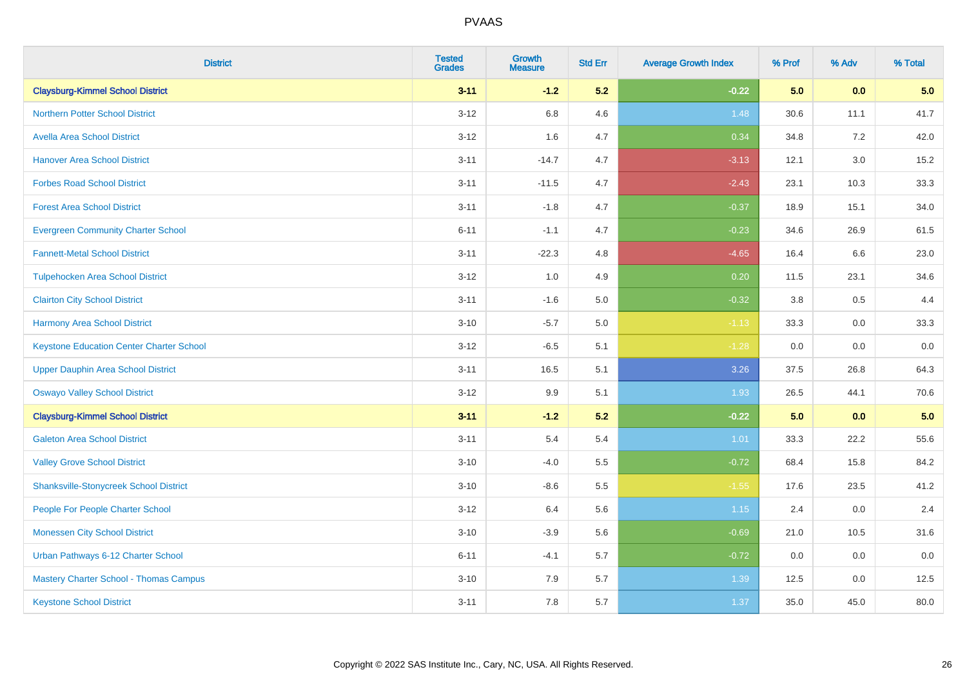| <b>District</b>                                 | <b>Tested</b><br><b>Grades</b> | <b>Growth</b><br><b>Measure</b> | <b>Std Err</b> | <b>Average Growth Index</b> | % Prof | % Adv   | % Total |
|-------------------------------------------------|--------------------------------|---------------------------------|----------------|-----------------------------|--------|---------|---------|
| <b>Claysburg-Kimmel School District</b>         | $3 - 11$                       | $-1.2$                          | 5.2            | $-0.22$                     | 5.0    | 0.0     | 5.0     |
| <b>Northern Potter School District</b>          | $3 - 12$                       | 6.8                             | 4.6            | 1.48                        | 30.6   | 11.1    | 41.7    |
| <b>Avella Area School District</b>              | $3 - 12$                       | 1.6                             | 4.7            | 0.34                        | 34.8   | 7.2     | 42.0    |
| <b>Hanover Area School District</b>             | $3 - 11$                       | $-14.7$                         | 4.7            | $-3.13$                     | 12.1   | 3.0     | 15.2    |
| <b>Forbes Road School District</b>              | $3 - 11$                       | $-11.5$                         | 4.7            | $-2.43$                     | 23.1   | 10.3    | 33.3    |
| <b>Forest Area School District</b>              | $3 - 11$                       | $-1.8$                          | 4.7            | $-0.37$                     | 18.9   | 15.1    | 34.0    |
| <b>Evergreen Community Charter School</b>       | $6 - 11$                       | $-1.1$                          | 4.7            | $-0.23$                     | 34.6   | 26.9    | 61.5    |
| <b>Fannett-Metal School District</b>            | $3 - 11$                       | $-22.3$                         | 4.8            | $-4.65$                     | 16.4   | 6.6     | 23.0    |
| <b>Tulpehocken Area School District</b>         | $3 - 12$                       | 1.0                             | 4.9            | 0.20                        | 11.5   | 23.1    | 34.6    |
| <b>Clairton City School District</b>            | $3 - 11$                       | $-1.6$                          | 5.0            | $-0.32$                     | 3.8    | $0.5\,$ | 4.4     |
| <b>Harmony Area School District</b>             | $3 - 10$                       | $-5.7$                          | 5.0            | $-1.13$                     | 33.3   | 0.0     | 33.3    |
| <b>Keystone Education Center Charter School</b> | $3 - 12$                       | $-6.5$                          | 5.1            | $-1.28$                     | 0.0    | 0.0     | 0.0     |
| <b>Upper Dauphin Area School District</b>       | $3 - 11$                       | 16.5                            | 5.1            | 3.26                        | 37.5   | 26.8    | 64.3    |
| <b>Oswayo Valley School District</b>            | $3 - 12$                       | 9.9                             | 5.1            | 1.93                        | 26.5   | 44.1    | 70.6    |
| <b>Claysburg-Kimmel School District</b>         | $3 - 11$                       | $-1.2$                          | 5.2            | $-0.22$                     | 5.0    | 0.0     | 5.0     |
| <b>Galeton Area School District</b>             | $3 - 11$                       | 5.4                             | 5.4            | 1.01                        | 33.3   | 22.2    | 55.6    |
| <b>Valley Grove School District</b>             | $3 - 10$                       | $-4.0$                          | 5.5            | $-0.72$                     | 68.4   | 15.8    | 84.2    |
| <b>Shanksville-Stonycreek School District</b>   | $3 - 10$                       | $-8.6$                          | 5.5            | $-1.55$                     | 17.6   | 23.5    | 41.2    |
| People For People Charter School                | $3-12$                         | 6.4                             | 5.6            | $1.15$                      | 2.4    | 0.0     | 2.4     |
| <b>Monessen City School District</b>            | $3 - 10$                       | $-3.9$                          | 5.6            | $-0.69$                     | 21.0   | 10.5    | 31.6    |
| Urban Pathways 6-12 Charter School              | $6 - 11$                       | $-4.1$                          | 5.7            | $-0.72$                     | 0.0    | 0.0     | 0.0     |
| Mastery Charter School - Thomas Campus          | $3 - 10$                       | 7.9                             | 5.7            | 1.39                        | 12.5   | 0.0     | 12.5    |
| <b>Keystone School District</b>                 | $3 - 11$                       | 7.8                             | 5.7            | 1.37                        | 35.0   | 45.0    | 80.0    |